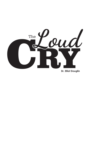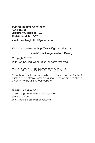**Truth for the Final Generation P.O. Box 725 Bridgetown, Barbados, W.I. Tel/Fax (246) 421-7297**

**email: teachingtruth14@yahoo.com**

Visit us on the web at **http://www.tffgbarbados.com**

#### or **truthforthefinalgeneration1984.org**

Copyright © 2020 Truth For The Final Generation, all rights reserved

### THIS BOOK IS NOT FOR SALE

Complete books or requested portions are available in printed or electronic form by writing to the addresses above, by email, or by visiting our website.

#### **PRINTED IN BARBADOS**

Cover design, book design and layout by: Shammal Jordan, Email: shammaljordan@hotmail.com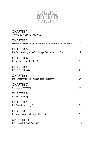

| <b>CHAPTER 1</b><br>PROPHETIC PRELUDE: PART ONE                                 | 1   |
|---------------------------------------------------------------------------------|-----|
| <b>CHAPTER 2</b><br>PROPHETIC PRELUDE Part 2: THE PURPOSES & ROLE OF THE PAPACY | 10  |
| <b>CHAPTER 3</b><br>The Final Swelling of the Third Angel Before the Loud Cry   | 17  |
| <b>CHAPTER 4</b><br>The Image and Mark of the Beast                             | 28  |
| <b>CHAPTER 5</b><br>The Loud Cry Begins                                         | 42  |
| <b>CHAPTER 6</b><br>The Fundamental Principles of Religious Liberty             | 54  |
| <b>CHAPTER 7</b><br>The Loud Cry Develops                                       | 64  |
| <b>CHAPTER 8</b><br>The Final Shaking                                           | 75  |
| <b>CHAPTER 9</b><br>The Seal of the Living God                                  | 84  |
| <b>CHAPTER 10</b><br>The Investigative Judgment of the Living                   | 95  |
| <b>CHAPTER 11</b><br>The Close of Human Probation                               | 105 |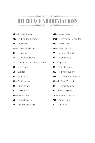# **REFERENCE ABBREVIATIONS**

- AA Acts of the Apostles
- #BC (Volume) Bible Commentary
- BE The Bible Echo
- CD Counsels on Diet and Food
- **CH** Counsels on Health
- COL Christ's Object Lessons
- CT Counsels to Parents, Teachers, and Students
- **DA** Desire of Ages
- ED Education
- **EW** Early Writings
- GC Great Controversy
- GW Gospel Workers
- **HL** Healthful Living
- **HP** Heavenly Places
- MB Mount of Blessings
- **MH** The Ministry of Healing#
- **MM** Medical Ministry
- **NASB** New American Standard Bible
- **OHC** Our High Calling
- PK Prophets and Kings
- PP Patriarchs and Prophets
- RH Review and Herald
- **SC** Steps to Christ
- **SD** Sons and Daughters
- **#SG** (Volume) Spiritual Gifts
- **#SM** (Volume) Selected Messages
- **SR** The Story of Redemption
- $ST$  The Signs of the Times
- #T (Volume) Testimonies
- **TM** Testimonies to Ministers
- WM Welfare Ministry
- YI Youth Instructor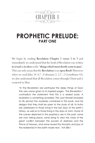

## **PROPHETIC PRELUDE: PART ONE**

We begin by reading **Revelation Chapter 1 verses 1 to 3** and immediately we understand that the book of Revelation was written *to reveal* or *to show* us the "*things which must shortly come to pass*". This can only mean that the **Revelation** is an **open** *Book!* Moreover when we read John 14: 6,7 ; Colossians 2: 2,3 ; 2 Corinthians 4:6, we also understand that all Revelation comes through Christ and is centered in Him.

"In the Revelation are portrayed the deep things of God. The very name given to its inspired pages, "the Revelation," contradicts the statement that this is a sealed book. A revelation is something revealed. The Lord Himself revealed to His servant the mysteries contained in this book, and He designs that they shall be open to the study of all. Its truths are addressed to those living in the last days of this earth's history, as well as to those living in the days of John. Some of the scenes depicted in this prophecy are in the past, some are now taking place; some bring to view the close of the great conflict between the powers of darkness and the Prince of heaven, and some reveal the triumphs and joys of the redeemed in the earth made new. "AA 584.1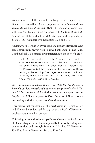We can now go a little deeper by studying Daniel chapter 12. In Daniel 12:9 we read that Daniel's prophecy was to be *"closed up and sealed till the time of the end" (KJV)*. By comparing verses 6,7,8 with verse 9 in Daniel 12, we can prove that *"the time of the end"* commenced at the **end** of the **1260 year** Papal world supremacy of 538 to 1798. ( Compare with Revelation 12: 6 and 14).

**Amazingly, in Revelation 10 we read of a mighty Messenger Who came down from heaven with "a** *little* **book open" i***n His hand!* This little book is a clear and obvious reference to the book of **Daniel!**

"In the Revelation all books of the Bible meet and end. Here is the complement of the book of Daniel. One is a prophecy; the other a revelation. The book that was sealed is not the Revelation, but that portion of the prophecy of Daniel relating to the last days. The angel commanded, "But thou, O Daniel, shut up the words, and seal the book, even to the time of the end." Daniel 12:4. AA 585.1

*Our inescapable conclusions are : 1. That the prophecies of Daniel would be studied and understood progressively after 1798, and 2.That the book of Revelation explains and opens up the prophecies of Daniel especially those portions of Daniel which are dealing with the very last events in the end-time.* 

This means that the details of the *final* verses in Daniel 2, 7, 8 and 11 must be *understood* through what the Book of **Revelation**  teaches about those final events !

**This brings us to a third inescapable conclusion: the final verses of Daniel chapters 2, 7, 8, and especially 11 must be interpreted by and understood through Revelation 12: 13 to 17; Revelation 13 : 11 to 18 and Revelation 14: 6 to 12 to 20**!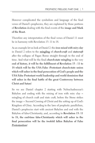However complicated the symbolism and language of the final verses of Daniel's prophecies, they are explained by those portions of **Revelation** dealing with the final events of the **image and Mark of the Beast.** 

Therefore any interpretation of the final verses of Daniel 11 must be in harmony with Revelation 13: 11 to 18.

As an example let us look at Daniel 2: the *iron mixed with miry clay* in Daniel 2 refers to the *mingling* of *church-craft* and *statecraft*  after the collapse of Pagan Rome straight through to the end of time. And what will be the final *church-state mingling* in the very **end of history, it will be the fulfillment of Revelation 13 : 11 to 18 which will be the USA False -Protestant church-state union which will usher in the final persecution of God's people and the USA False Protestant world leadership and world dominion that will usher in the final battle of the great Controversy between Christ and Satan!**

So we see Daniel chapter 2 starting with Nebuchadnezzar's Babylon and ending with the mixing of iron with miry clay  $=$ mingling of church craft and state craft, before the Stone strikes the image = Second Coming of Christ and the setting up of God's Kingdom of Glory. According to the laws of prophetic parallelism, Daniel's prophecies start with ancient Babylon and end with the Babylon of false-Christianity; and, according to **Revelation 13: 11 to 18, the end-time false-Christianity which will usher in the final persecution will be the twofold fallen Babylon of False**  *Protestantism*!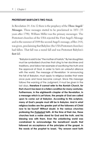#### **PROTESTANT BABYLON'S TWO FALLS.**

In Revelation 14 : 6 to 12 there is the prophecy of the *Three Angels' Messages*. These messages started to be proclaimed in 1831 (33 years after 1798). William Miller was the primary messenger. The Protestant churches of the USA rejected the First Angel's Message and in the summer of 1844 the second Angel's message, of Rev.14:8, was given, proclaiming that Babylon (the USA Protestant churches) had fallen. That fall was a moral fall and was Protestant Babylon's **first** fall.

"Babylon is said to be "the mother of harlots." By her daughters must be symbolized churches that cling to her doctrines and traditions, and follow her example of sacrificing the truth and the approval of God, in order to form an unlawful alliance with the world. The message of Revelation 14 announcing the fall of Babylon, must apply to religious bodies that were once pure and have become corrupt. Since this message follows the warning of the Judgment, it must be given in the last days, *therefore it cannot refer to the Romish Church, for that church has been in a fallen condition for many centuries.*  **Furthermore, in the eighteenth chapter of the Revelation, in a message which is yet future, the people of God are called upon to come out of Babylon. According to this scripture, many of God's people must still be in Babylon. And in what religious bodies are the greater part of the followers of Christ now to be found? Without doubt, in the various churches professing the** *Protestant* **faith. At the time of their rise, these churches took a noble stand for God and the truth, and his blessing was with them. Even the unbelieving world was constrained to acknowledge the beneficent results that followed an acceptance of the principles of the gospel. In the words of the prophet to Israel, "Thy renown went forth**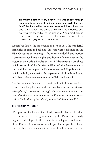**among the heathen for thy beauty; for it was perfect through my comeliness, which I had put upon thee, saith the Lord God." But they fell by the same desire which was** the curse and ruin of Israel,—the desire of imitating the practices and courting the friendship of the ungodly. "Thou didst trust in thine own beauty, and playedst the harlot because of thy renown." GC(88) 382.3 ( 1888 Edition).

Remember that by the time period of 1798 to 1831 the **wonderful principles of civil and religious liberties were enshrined in the USA Constitution, making it the most wonderful and perfect Constitution for human rights and liberty of conscience in the history of the world ! Revelation 13: 11 ( first part) is a prophecy which was fulfilled by the rise of USA and the development of the lamb-like principles of Protestantism and Republicanism which include,of necessity, the separation of church and state and liberty of conscience in matters of faith and worship.** 

But the prophecy foretells of a drastic and radical departure from those lamb-like principles and the manifestation of *the dragon principles of persecution through church-state union and the control of the civil government by the Protestant churches which will be the healing of the "deadly wound" of Revelation 13:3.*

#### **THE "DEADLY WOUND"**

 The process of achieving the "deadly wound", that is, of ending the control of the civil government by the Papacy, was slowly begun and developed by the progressive development and growth of the Protestant Reformation which gave the people the Biblical truth of liberty of conscience in matters of faith, so much so, that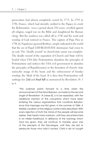persecution had almost completely ceased by 1773. In 1793 to 1796, France, which had slavishly yielded to the Papacy to crush the Reformation (over a period about 250 years), revolted against all religion, waged war on the Bible and slaughtered the Roman clergy. But the madness was called off in 1796 and the word and worship of God restored in France. The capture of Pope Pius in 1798, by Napoleon's general Berthier, simply indicated to the world that the era of Papal CHURCH-STATE dominance had come to an end. The "deadly wound" to church-state union was complete. The deadly wound of the separation of Church and State will be healed when USA false Protestantism abandons the principles of Protestantism and induces the USA civil government to abandon the principles of Republicanism in the formation of church- state union,the image of the beast, and the enforcement of Sunday worship, the Mark of the beast. It is then that Protestantism will undergo her **2nd** and **final fall** as announced by Revelation 18: 1 to 4.

"This scripture points forward to a time when the announcement of the fall of Babylon, as made by the second angel of Revelation 14 (verse 8), is to be repeated, with the additional mention of the corruptions which have been entering the various organizations that constitute Babylon, since that message was first given, in the summer of 1844. A terrible condition of the religious world is here described. With every rejection of truth the minds of the people will become darker, their hearts more stubborn, until they are entrenched in an infidel hardihood. In defiance of the warnings which God has given, they will continue to trample upon one of the precepts of the Decalogue, until they are led to persecute those who hold it sacred. Christ is set at nought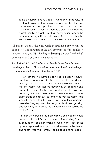in the contempt placed upon His word and His people. As the teachings of spiritualism are accepted by the churches, the restraint imposed upon the carnal heart is removed, and the profession of religion will become a cloak to conceal the basest iniquity. A belief in spiritual manifestations opens the door to seducing spirits and doctrines of devils, and thus the influence of evil angels will be felt in the churches." GC 603.2

All this means that the *final* world-controlling *Babylon* will be False Protestantism united to the civil government of the mightiest nation on earth, the USA, *leading* and *uniting* the world in the final persecution of God's true remnant church.

#### **Revelation 13: 11 to 17 informs us that the beast from the earth in her dragon phase will be the last power employed by the dragon to persecute God' church, Revelation 12:17.**

"I saw that the two-horned beast had a dragon's mouth, and that his power was in his head, and that the decree would go out of his mouth. Then I saw the Mother of Harlots; that the mother was not the daughters, but separate and distinct from them. She has had her day, and it is past, and her daughters, the Protestant sects, were the next to come on the stage and act out the same mind that the mother had when she persecuted the saints. I saw that as the mother has been declining in power, the daughters had been growing, and soon they will exercise the power once exercised by the mother." SpM 1.4

"In vision John beheld the trials which God's people would endure for the truth's sake. He saw their unyielding firmness in obeying the commandments of God, in the face of the oppressive powers that sought to force them into disobedience, and he saw their final triumph over the beast and his image.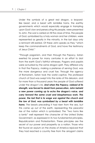Under the symbols of a great red dragon, a leopardlike beast, and a beast with lamblike horns, the earthly governments which would especially engage in trampling upon God's law and persecuting His people, were presented to John. The war is carried on till the close of time. The people of God, symbolized by a holy woman and her children, were represented as greatly in the minority. In the last days only a remnant still existed. Of these John speaks as they "which keep the commandments of God, and have the testimony of Jesus Christ."

"Through paganism, and then through the Papacy, Satan exerted his power for many centuries in an effort to blot from the earth God's faithful witnesses. Pagans and papists were actuated by the same dragon spirit. They differed only in that the Papacy, making a pretense of serving God, was the more dangerous and cruel foe. Through the agency of Romanism, Satan took the world captive. The professed church of God was swept into the ranks of this delusion, and for more than a thousand years the people of God suffered under the dragon's ire. *And when the Papacy, robbed of its strength, was forced to desist from persecution, John beheld a new power coming up to echo the dragon's voice, and carry forward the same cruel and blasphemous work. This power, the last that is to wage war against the church and the law of God, was symbolized by a beast with lamblike horns*. The beasts preceding it had risen from the sea, but this came up out of the earth, representing the peaceful rise of the nation which is symbolized. The "two horns like a lamb" well represent the character of the United States Government, as expressed in its two fundamental principles, Republicanism and Protestantism. These principles are the secret of our power and prosperity as a nation. Those who first found an asylum on the shores of America rejoiced that they had reached a country free from the arrogant claims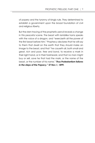of popery and the tyranny of kingly rule. They determined to establish a government upon the broad foundation of civil and religious liberty.

But the stern tracing of the prophetic pencil reveals a change in this peaceful scene. The beast with lamblike horns speaks with the voice of a dragon, and "exerciseth all the power of the first beast before him." Prophecy declares that he will say to them that dwell on the earth that they should make an image to the beast, and that "he causeth all, both small and great, rich and poor, free and bond, to receive a mark in their right hand, or in their foreheads; and that no man might buy or sell, save he that had the mark, or the name of the beast, or the number of his name." *Thus Protestantism follows in the steps of the Papacy." ST Nov.1, 1899.*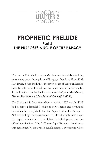

## **PROPHETIC PRELUDE Part 2 THE PURPOSES & ROLE OF THE PAPACY**

The Roman Catholic Papacy was *the* church-state world controlling persecutory power during the middle ages, in fact, from 538 to 1798 AD. It was,in fact, the fifth of the seven heads of the seven-headed beast (which seven- headed beast is mentioned in Revelation 12, 13, and 17.) We can list the first five heads: B*abylon, MedoPersia, Greece, Pagan Rome, The Medieval Papacy(538-1798).*

The Protestant Reformation which started in 1517, and by 1529 had become a formidable religious power began and continued to weaken the stranglehold that the Papacy had on the European Nations; and by 1773 persecution had almost wholly ceased and the Papacy was disabled as a civil-ecclesiastical power. But the official termination of the 1260 year Papal European dominance was occasioned by the French Revolutionary Government, when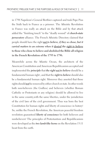in 1798 Napoleon's General Berthier captured and took Pope Pius the Sixth back to France as a prisoner. The Atheistic Revolution in France was really an attack on the Bible and by that attack added the "finishing touch" to the "deadly wound" of *church-state persecutory* alliance. The French Atheistic Directory claimed that people should have the right *not to believe, if they so chose; but it carried matters to an extreme when it denied the right to believe* **to those who chose to believe and abolished the Bible all religion in the French Revolution of the 1793 to 1796.** 

Meanwhile across the Atlantic Ocean, the architects of the American Constitution and American Republicanism accepted and implemented the *principle* that *the right not to believe* should be a fundamental human right ; and that the *right to believe* should also be a fundamental human right. Moreover they asserted that those rights should *not* be removed by either church or state. In other words both non-believers (the Godless) and believers (whether Roman Catholic or Protestants or any religion) should be allowed to live in the same country,with the same liberties, under the jurisdiction of the civil laws of the civil government. Thus was born the best Constitution for human rights and liberty of conscience in history! So, unlike the French Revolution, the American peaceful freedom revolution guaranteed *liberty of conscience* for both believers and nonbelievers! The principles of Protestantism and Republicanism were developed as the *two lamb-like horns* on the Revelation 13:11 beast from the earth.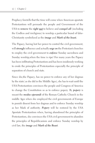Prophecy foretells that the time will come when American apostate Protestantism will persuade the people and Government of the USA to *remove* the *right not* to believe and **compel** *all* (including the Godless and irreligious) to worship a particular brand of false-Christianity symbolized as the *image* and *Mark of the beast.*

The Papacy, having lost her power to control the civil government, will *strongly* influence and actually *urge on* the Protestant churches to employ the civil government to *enforce* Sunday sacredness and Sunday worship,when the time is ripe! For many years the Papacy has been infiltrating Protestantism and has been insidiously working to erode the principles of Protestantism especially the principle of separation of church and state.

Since she,the Papacy, has no power to enforce any of her dogmas by the state( as she did in the Middle Ages), she has to wait until the USA Protestantism convinces the people and Congress of America to change the Constitution so as to enforce popery. By *popery* is meant the *modus operandi* of the Roman Catholic Church in the middle Ages when she employed the civil governments of Europe to punish dissent from her dogmas and to enforce Sunday worship as her Mark of authority. *Popery* will be restored by the USA Apostate Protestantism when, having abandoned the principles of Protestantism, she convinces the USA civil government to abandon the principles of Republicanism and enforce Sunday worship by civil law, the *image* and *Mark of the Beast*.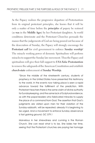As the Papacy realizes the progressive departure of Protestantism from its original protestant principles, she knows that it will be only a matter of time before the *principles* of popery be restored (as **was** in the **Middle Ages**) by her Protestant daughters. As world conditions deteriorate and the Protestant Churches persuade the masses that the judgements of God are being poured out because of the desecration of Sunday, the Papacy will strongly encourage the **Protestant** *call* for civil government to enforce *Sunday worship!*  The miracle working power of demonic Spiritualism will perform miracles to support the Sunday law movement. Thus the Papacy and spiritualism will give their full support to *USA False Protestantism*  to remove the safeguards of the American Constitution and establish *church-state* enforcement of *Sunday Worship.* 

"Since the middle of the nineteenth century, students of prophecy in the United States have presented this testimony to the world. In the events now taking place is seen a rapid advance toward the fulfillment of the prediction. With Protestant teachers there is the same claim of divine authority for Sundaykeeping, and the same lack of Scriptural evidence, as with the papal leaders who fabricated miracles to supply the place of a command from God. The assertion that God's judgments are visited upon men for their violation of the Sunday-sabbath, will be repeated; already it is beginning to be urged. And a movement to enforce Sunday observance is fast gaining ground. GC 579.1

Marvelous in her shrewdness and cunning is the Roman Church. She can read what is to be. She bides her time, seeing that the Protestant churches are paying her homage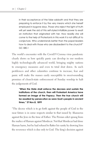in their acceptance of the false sabbath and that they are preparing to enforce it by the very means which she herself employed in bygone days. Those who reject the light of truth will yet seek the aid of this self-styled infallible power to exalt an institution that originated with her. How readily she will come to the help of Protestants in this work it is not difficult to conjecture. Who understands better than the papal leaders how to deal with those who are disobedient to the church?" GC 580.1

The world's encounter with the Covid19 Corona virus pandemic clearly shows us how quickly panic can develop in our modern highly technologically advanced world, bringing mighty nations to emergency measures and even to total shut down. As such pestilences and other calamities continue to increase, fear and panic will make the masses easily susceptible to sweet-sounding promises of church-state enforcement of Sunday worship to halt the judgements of God.

**"When the State shall enforce the decrees and sustain the institutions of the church, then will Protestant America have formed an image of the Papacy. Then the true church will be assailed by persecution as were God's people in ancient times." ST Nov.8, 1899**

"The decree which is to go forth against the people of God in the near future is in some respects similar to that issued by Ahasuerus against the Jews in the time of Esther. The Persian edict sprang from the malice of Haman against Mordecai. Not that Mordecai had done Haman harm, but he had refused to flatter his vanity by showing him the reverence which is due only to God. The king's decision against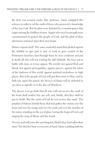the Jews was secured under false pretenses. Satan instigated this scheme in order to rid the earth of those who preserved a knowledge of the true God. But his plots were defeated by a counter-power that reigns among the children of men. Angels who excel in strength were commissioned to protect the people of God, and the plots of their adversaries returned upon their own heads.

History repeats itself. The same masterful mind that plotted against the faithful in ages past is now at work to gain control of the Protestant churches, that through them he may condemn and put to death all who will not worship the idol Sabbath. We have not to battle with man, as it may appear. We wrestle not against flesh and blood, but against principalities, against powers, against the rulers of the darkness of this world, against spiritual wickedness in high places. But if the people of God will put their trust in Him, and by faith rely upon His power, the devices of Satan will be defeated in our time as signally as in the days of Mordecai.

The decree is to go forth that all who will not receive the mark of the beast shall neither buy nor sell, and, finally, that they shall be put to death. But the saints of God do not receive this mark. The prophet of Patmos beheld those that had gotten the victory over the beast and over his image and over his mark and over the number of his name, standing on the sea of glass, having the harps of God, and singing the song of Moses and the Lamb.

To every soul will come the searching test, Shall I obey God rather than men? The decisive hour is even now at hand. Satan is putting forth his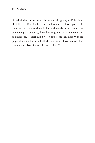utmost efforts in the rage of a last despairing struggle against Christ and His followers. False teachers are employing every device possible to stimulate the hardened sinner in his rebellious daring, to confirm the questioning, the doubting, the unbelieving, and, by misrepresentation and falsehood, to deceive, if it were possible, the very elect. Who are prepared to stand firmly under the banner on which is inscribed, "The commandments of God and the faith of Jesus"?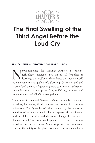

# **The Final Swelling of the Third Angel Before the Loud Cry**

#### **PERILOUS TIMES (2 TIMOTHY 3:1-5, LUKE 21:25-26)**

Notwithstanding the amazing advances in science,<br>technology, medicine and indeed all branches of<br>learning, the problems which beset the modern world<br>are quantitatively and qualitatively elemined Op avery hand and technology, medicine and indeed all branches of learning, the problems which beset the modern world are quantitatively and qualitatively alarming! On every hand and in every land there is a frightening increase in crime, lawlessness, immorality, vice and corruption. Drug trafficking, terrorism, and war continue to defy all efforts to stop them.

In the meantime natural disasters, such as earthquakes, tsunamis, tornadoes, hurricanes, floods, famines and pandemics, continue to increase. The "green-house" effect caused by the increasing quantities of carbon dioxide in the atmosphere will continue to produce global warming and disastrous changes in the global climate. In addition, the waste by-products of industry continue to pollute land, air and water. As earth's population continues to increase, the ability of the planet to sustain and maintain life is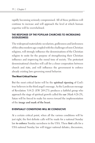rapidly becoming seriously compromised. All of these problems will continue to increase and will approach the level at which human expertise will be overwhelmed.

#### **THE RESPONSE OF THE POPULAR CHURCHES TO INCREASING GODLESSNESS**

The widespread materialistic secularism, godlessness and lawlessness of this ultra-modern age coupled with the challenges of non-Christian religions, will strongly influence the denominations of the Christian religion to unite for the purpose of strengthening their Christian influence and improving the moral tone of society. The protestant denominational churches will call for a closer cooperation between church and state, and will influence the government to enforce already existing laws governing moral behavior.

#### **The Most Critical Factor**

But the most critical factor will be the **spiritual ripening** of God's true believers in the third angel's message. As the Laodicean message of Revelation 3:14-21 (EW 269-271) produces a faithful group who approach the stage of spiritual growth called the **ear** (Mark 4:26-29), Satan will be forced to make his moves toward the implementation of the **image and mark of the beast.** 

#### **EVENTUALLY CONDITIONS WILL BE CONDUCIVE**

At a certain critical point, when all the various conditions will be just right, the first definite calls will be made for a national Sunday law **to enforce** Sunday sacredness in the USA. These **first** calls for a USA national Sunday law will trigger national debates, discussions,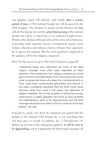and agitation which will intensify until finally, **after a certain period of time,** a USA national Sunday law will be passed by the USA Congress. The duration or period of time between the **first**  calls for the Sunday law and the **actual final passing** of the national Sunday law will be a critical but, as yet, unknown length of time. Whatever the duration of this period it will be a time when historians, economists, trade unionists, lawyers, constitutional experts, social workers, educators, and ordinary citizens will give their arguments for or against the proposal. But the most important component in the agitation will be the religious component.

Why? For the answer we go to *The Great Controversy,* page 605.

"Heretofore those who presented the truths of the third angel's message have often been regarded as mere alarmists. Their predictions that religious intolerance would gain control in the United States, that church and state would unite to persecute those who keep the commandments of God, have been pronounced groundless and absurd. It has been confidently declared that this land could never become other than what it has been—the defender of religious freedom. But as the question of enforcing Sunday observance is widely agitated, the event so long doubted and disbelieved is seen to be approaching, and the third message will produce an effect which it could not have had before." GC 605.

It should be clearly seen from the statement just quoted that the passing of the national USA Sunday law is not something that will steal upon us secretly or suddenly. See 2 Thessalonians 5:4. Rather, on account of the widespread agitation, **it will be seen to be approaching,** and as it approaches the third angel's message will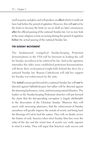swell in power and glory and will produce an **effect** which it could not have had before the period of agitation. However, this will **not** yet be the loud cry because the loud cry (as we shall see later) commences **after** the official passing of the national Sunday law. Let us now look at the main religious events occurring during this period of agitation **before** the actual passing of the national Sunday law.

#### **THE SUNDAY MOVEMENT**

The fundamental evangelical Sunday-keeping Protestant denominations in the USA will be foremost in leading the call for Sunday sacredness to be enforced by law. And as the agitation intensifies the older more established protestant denominations will throw their ecclesiastical weight fully behind the drive for a national Sunday law. Roman Catholicism will add her support for Sunday rest enforcement by the state.

The **initial** reasons put forward for a national Sunday law will **not** be directed against Sabbath-keepers but rather will be directed against the alarming lawlessness, crime, and increasing natural disasters. The leaders in the Sunday-keeping Protestant churches will put forward the claim that the fast-spreading corruption is largely attributable to the desecration of the Christian Sunday. Moreover they will assert, with increasing adamance, that the enforcement of Sunday sacredness will greatly improve the morals of society and bring back the blessings of God to heal the nation. They will, no doubt, review the history of early America when strict Sunday blue-laws were the order of the day and the moral tone of society was vastly superior to what it is today. They will argue that America's early success and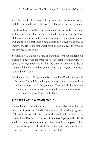stability were the direct result of her deep-seated Christian heritage and therefore a return to that heritage will produce national healing.

It will also be claimed that the legislation of Sunday rest and worship will improve family life and put a halt to the alarming waywardness of the nation's youth. Trade unionists, sociologists, and social workers will add their support since a compulsory day of rest would greatly improve the efficiency of the work-force and help to ease the stress of modern fast-paced living.

Secularists will welcome a day of tranquility without the religious trappings. They will be more inclined to accept the "civil-regulation" basis. Civil regulation means that the state may appoint a day as a national holiday whether or not there is a religious sentiment attached to that day.

But the churches will agitate for Sunday to be officially recognized as the Lord's day and they will argue that without this religious basis the whole exercise would be pointless. They will declare that for the Sunday rest to have any serious moral impact upon the nation it must be accepted as the Christian Sabbath.

#### **THE THIRD ANGEL'S MESSAGE SWELLS**

Remember that we are focusing now on the period of time when the question of enforcing Sunday observance will be widely agitated. This event, so long doubted and disbelieved, will be seen to be approaching. **During that period of time God's people will clearly spell out the reasons why a Sunday law should not be passed.** The true seventh-day Sabbath will be presented more clearly within the context of the true gospel and character of God!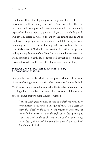In addition the Biblical principles of religious liberty **(liberty of conscience)** will be clearly enunciated. Moreover all of the true doctrines and true prophetic interpretations will be thoroughly expounded thereby exposing popular religious errors! God's people will explain carefully what is meant by the **image** and **mark** of the beast. The people will be told about the fatal consequences of enforcing Sunday sacredness. During that period of time, the true Sabbath-keepers of God will press together in fasting and praying and agonizing for more of the Holy Spirit and total victory over sin. Many professed seventh-day believers will appear to be joining in this effort as well, but later events will produce a final shaking!

#### **THE ROLE OF SPIRITUALISM (REVELATION 16:13-14, 2 CORINTHIANS 11:13-15)**

False prophets will proclaim that God has spoken to them in dreams and visions confirming that it is His will to have a national Sunday Sabbath. Miracles will be performed in support of the Sunday movement. And dazzling spiritual manifestations resembling Pentecost will be accepted as God's stamp of approval for Sunday legislation.

*"And he doeth great wonders, so that he maketh fire come down from heaven on the earth in the sight of men, 14 And deceiveth them that dwell on the earth by the means of those miracles which he had power to do in the sight of the beast; saying to them that dwell on the earth, that they should make an image to the beast, which had the wound by a sword, and did live." Revelation 13:13-14.*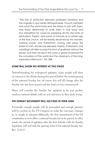"The line of distinction between professed Christians and the ungodly is now hardly distinguishable. Church members love what the world loves and are ready to join with them, and Satan determines to unite them in one body and thus strengthen his cause by sweeping all into the ranks of spiritualism. Papists, who boast of miracles as a certain sign of the true church, will be readily deceived by this wonderworking power; and Protestants, having cast away the shield of truth, will also be deluded. Papists, Protestants, and worldlings will alike accept the form of godliness without the power, and they will see in this union a grand movement for the conversion of the world and the ushering in of the longexpected millennium." GC 588.

#### **SOME WILL SHOW NO INTEREST AT THIS STAGE**

Notwithstanding the widespread agitation, some people will show no interest in the debate during this period before the actual passing of the national Sunday law (of course this will all change after the Sunday law has been passed and the loud cry has commenced).

Many will consider the Sunday law agitation to be just another modern national debate with no real relevance to their daily living.

#### **THE SUNDAY MOVEMENT WILL SUCCEED IN THEIR AIMS**

Eventually enough people will be persuaded and enough pressure will be exerted on the US Congress to make the necessary changes to, or simply to interpret differently, the first amendment of the US constitution so as to allow a national Sunday law to be passed. In other words, the period of agitation after the first definite calls for Sunday legislation will end with the passing of the USA national Sunday law. Rev. 13,14,15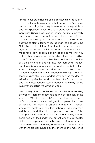"The religious organizations of the day have refused to listen to unpopular truths plainly brought to view in the Scriptures, and in combating them they have adopted interpretations and taken positions which have sown broadcast the seeds of skepticism. Clinging to the papal error of natural immortality and man's consciousness in death, they have rejected the only defense against the delusions of spiritualism. The doctrine of eternal torment has led many to disbelieve the Bible. And as the claims of the fourth commandment are urged upon the people, it is found that the observance of the seventh-day Sabbath is enjoined; and as the only way to free themselves from a duty which they are unwilling to perform, many popular teachers declare that the law of God is no longer binding. Thus they cast away the law and the Sabbath together. As the work of Sabbath reform extends, this rejection of the divine law to avoid the claims of the fourth commandment will become well-nigh universal. The teachings of religious leaders have opened the door to infidelity, to spiritualism, and to contempt for God's holy law; and upon these leaders rests a fearful responsibility for the iniquity that exists in the Christian world.

"Yet this very class put forth the claim that the fast-spreading corruption is largely attributable to the desecration of the so-called 'Christian sabbath,' and that the enforcement of Sunday observance would greatly improve the morals of society. This claim is especially urged in America, where the doctrine of the true Sabbath has been most widely preached. Here the temperance work, one of the most prominent and important of moral reforms, is often combined with the Sunday movement, and the advocates of the latter represent themselves as laboring to promote the highest interest of society; and those who refuse to unite with them are denounced as the enemies of temperance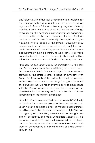and reform. But the fact that a movement to establish error is connected with a work which is in itself good, is not an argument in favor of the error. We may disguise poison by mingling it with wholesome food, but we do not change its nature. On the contrary, it is rendered more dangerous, as it is more likely to be taken unawares. It is one of Satan's devices to combine with falsehood just enough truth to give it plausibility. The leaders of the Sunday movement may advocate reforms which the people need, principles which are in harmony with the Bible; yet while there is with these a requirement which is contrary to God's law, His servants cannot unite with them. Nothing can justify them in setting aside the commandments of God for the precepts of men.

"Through the two great errors, the immortality of the soul and Sunday sacredness, Satan will bring the people under his deceptions. While the former lays the foundation of spiritualism, the latter creates a bond of sympathy with Rome. The Protestants of the United States will be foremost in stretching their hands across the gulf to grasp the hand of spiritualism; they will reach over the abyss to clasp hands with the Roman power; and under the influence of this threefold union, this country will follow in the steps of Rome in trampling on the rights of conscience.

"As spiritualism more closely imitates the nominal Christianity of the day, it has greater power to deceive and ensnare. Satan himself is converted, after the modern order of things. He will appear in the character of an angel of light. Through the agency of spiritualism, miracles will be wrought, the sick will be healed, and many undeniable wonders will be performed. And as the spirits will profess faith in the Bible, and manifest respect for the institutions of the church, their work will be accepted as a manifestation of divine power." GC 586-588.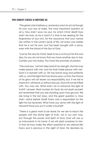#### **THE GREAT CRISIS IS BEFORE US**

"The great crisis is before us, and every one is to act as though his own soul was at stake. The most important question of all is, How shall I save my soul, for which Christ died? How shall I be holy, as he is holy? It is time to be seeking for the forgiveness of your sins, for the assurance that your names are written in the Lamb's book of life. Let every one realize that he is not his own, but has been bought with a price, even with the blood of the Son of God.

"Live by the day for Christ. Seek to be a victor just for this one day; for you do not know that you have another day to live. Confess your sins today. You have the promises of pardon.

"The Lord says, 'Let him take hold of my strength, that he may make peace with me; and he shall make peace with me.' God is in earnest with us. He has borne long and patiently with us, and the light that has shone upon us from the throne of his glory will not lessen our responsibility, but, if we fail to improve it, will leave us without excuse. God will not be trifled with. You may ask, What shall I do to advance the light of truth? I answer, Work humbly for God; do not exalt yourself, but remember that you are standing upon holy ground. We are living in the last days, and the great question is, How shall I stand before God? Every one is responsible for the light he has received. What have you done with the light of heaven? Have you put it under a bushel?

"There is a great work to be done; for we are to reach the people with the divine light of truth, not in our own way, but through the power and Spirit of God. God will use us as instruments in his hand, if we will yield ourselves to him. O that all may make the effort essential to win eternal life! Every soul is precious in the sight of God. He declares by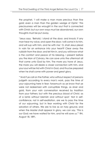the prophet, 'I will make a man more precious than fine gold; even a man than the golden wedge of Ophir.' This preciousness will be wrought in the soul that is connected with Christ; but our own ways must be abandoned, our own thoughts must be put away.

"Jesus says, 'Behold, I stand at the door, and knock; if any man hear my voice, and open the door, I will come in to him, and will sup with him, and he with me.' O, shall Jesus plead in vain for an entrance into your heart? Clear away the rubbish from the door, and let him in, and you will know what is the comfort and peace of his blessing. I present before you the Man of Calvary. He can save unto the uttermost all that come unto God by him. The more you have of Jesus, the more you will desire a closer connection with him, and your soul will be hid with Christ in God, and thus be prepared when he shall come with power and great glory.

"'And if ye call on the Father, who without respect of persons judgeth according to every man's work, pass the time of your sojourning here in fear: forasmuch as ye know that ye were not redeemed with corruptible things, as silver and gold, from your vain conversation received by tradition from your fathers; but with the precious blood of Christ, as of a lamb without blemish and without spot.' Not in selfconfidence, not in self-exaltation, are we to pass the time of our sojourning, but in fear working with Christ for the salvation of others. We are to live as on holy ground, and when the Master shall appear in glory, we can say, 'This is our God; we have waited for him, and he will save us.'" RH, August 18, 1891.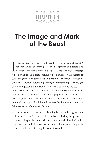

# **The Image and Mark of the Beast**

I n our last chapter we saw clearly that **before** the passing of the USA national Sunday law, **during** the period of agitation and debate as to whether or not such a law should be passed, the third angel's message will be **swelling.** This **final swelling** will be caused by the **increasing**  outpouring of the Holy Spirit in maximum early rain showers in anticipation of the final latter rain outpouring. During the **final swelling,** the messages of the **true** gospel and the **true** character of God will be the basis of a fuller, clearer presentation of the law of God; the seventh-day Sabbath; principles of religious liberty; and correct prophetic interpretation. The two dangerous false doctrines of Sunday-sacredness and the natural immortality of the soul will be fully exposed by the presentation of the **full message** of **righteousness by faith!** 

All of this means that the Sunday keeping leaders and congregations will be given God's light on these subjects during the period of agitation! The people of God will not sit idly by and allow the Sunday movement to obtain its objectives without fully warning the people against it by fully ventilating the issues involved!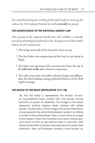Yet, notwithstanding the swelling of the third angel in warning the nation, the USA national Sunday law will **eventually** be passed.

#### **THE SIGNIFICANCE OF THE NATIONAL SUNDAY LAW**

The passing of the national Sunday law will establish a critically terminal eschatological landmark in the closing scenes of this world's history. It will indicate that:

- 1 The image and mark of the beast have been set up.
- 2 The final latter rain outpouring and the loud cry are about to begin.
- 3 The latter rain ripening of the remnant elect from the **ear** to the **full corn in the ear** is about to commence.
- 4 The early, lesser time of trouble is about to begin and **will** produce the final shaking among professed believers of the third angel's message.

#### **THE IMAGE OF THE BEAST (REVELATION 13:11-18)**

"By this first beast is represented the Roman Church, an ecclesiastical body clothed with civil power, having authority to punish all dissenters. The image to the beast represents another religious body clothed with similar powers. The formation of this image is the work of that beast whose peaceful rise and mild professions render it so striking a symbol of the United States. Here is to be found an image of the Papacy. When the churches of our land, uniting upon such points of faith as are held by them in common, shall influence the State to enforce their decrees and sustain their institutions, then will Protestant America have formed an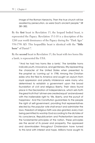image of the Roman hierarchy. Then the true church will be assailed by persecution, as were God's ancient people." SR 381-382.

By the **first** beast in Revelation 13, the leopard bodied beast, is represented the Papacy. Revelation 13:1-10 is a description of the 1260 year world dominance of the Papacy during the "Dark Ages" 538-1798 AD. This leopardlike beast is identical with the **"little horn"** of Daniel 7.

By the **second** beast in Revelation 13, the beast with two horns like a lamb, is represented the USA.

"'And he had two horns like a lamb.' The lamblike horns indicate youth, innocence, and gentleness, fitly representing the character of the United States when presented to the prophet as 'coming up' in 1798. Among the Christian exiles who first fled to America and sought an asylum from royal oppression and priestly intolerance were many who determined to establish a government upon the broad foundation of civil and religious liberty. Their views found place in the Declaration of Independence, which sets forth the great truth that 'all men are created equal' and endowed with the inalienable right to 'life, liberty, and the pursuit of happiness.' And the Constitution guarantees to the people the right of self-government, providing that representatives elected by the popular vote shall enact and administer the laws. Freedom of religious faith was also granted, every man being permitted to worship God according to the dictates of his conscience. Republicanism and Protestantism became the fundamental principles of the nation. These principles are the secret of its power and prosperity. The oppressed and downtrodden throughout Christendom have turned to this land with interest and hope. Millions have sought its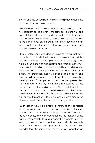shores, and the United States has risen to a place among the most powerful nations of the earth.

"But the beast with lamblike horns 'spake as a dragon. And he exerciseth all the power of the first beast before him, and causeth the earth and them which dwell therein to worship the first beast, whose deadly wound was healed;…saying to them that dwell on the earth, that they should make an image to the beast, which had the wound by a sword, and did live.' Revelation 13:11-14.

"The lamblike horns and dragon voice of the symbol point to a striking contradiction between the professions and the practice of the nation thus represented. The 'speaking' of the nation is the action of its legislative and judicial authorities. By such action it will give the lie to those liberal and peaceful principles which it has put forth as the foundation of its policy. The prediction that it will speak 'as a dragon' and exercise 'all the power of the first beast' plainly foretells a development of the spirit of intolerance and persecution that was manifested by the nations represented by the dragon and the leopardlike beast. And the statement that the beast with two horns 'causeth the earth and them which dwell therein to worship the first beast' indicates that the authority of this nation is to be exercised in enforcing some observance which shall be an act of homage to the papacy.

"Such action would be directly contrary to the principles of this government, to the genius of its free institutions, to the direct and solemn avowals of the Declaration of Independence, and to the Constitution. The founders of the nation wisely sought to guard against the employment of secular power on the part of the church, with its inevitable result— intolerance and persecution. The Constitution provides that 'Congress shall make no law respecting an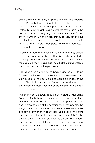establishment of religion, or prohibiting the free exercise thereof,' and that 'no religious test shall ever be required as a qualification to any office of public trust under the United States.' Only in flagrant violation of these safeguards to the nation's liberty, can any religious observance be enforced by civil authority. But the inconsistency of such action is no greater than is represented in the symbol. It is the beast with lamblike horns—in profession pure, gentle, and harmless that speaks as a dragon.

"'Saying to them that dwell on the earth, that they should make an image to the beast.' Here is clearly presented a form of government in which the legislative power rests with the people, a most striking evidence that the United States is the nation denoted in the prophecy.

"But what is the 'image to the beast'? and how is it to be formed? The image is made by the two-horned beast, and is an image to the beast. It is also called an image of the beast. Then to learn what the image is like and how it is to be formed we must study the characteristics of the beast itself—the papacy.

"When the early church became corrupted by departing from the simplicity of the gospel and accepting heathen rites and customs, she lost the Spirit and power of God; and in order to control the consciences of the people, she sought the support of the secular power. The result was the papacy, a church that controlled the power of the state and employed it to further her own ends, especially for the punishment of 'heresy.' In order for the United States to form an image of the beast, the religious power must so control the civil government that the authority of the state will also be employed by the church to accomplish her own ends.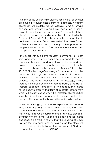"Whenever the church has obtained secular power, she has employed it to punish dissent from her doctrines. Protestant churches that have followed in the steps of Rome by forming alliance with worldly powers have manifested a similar desire to restrict liberty of conscience. An example of this is given in the long-continued persecution of dissenters by the Church of England. During the sixteenth and seventeenth centuries, thousands of nonconformist ministers were forced to flee from their churches, and many, both of pastors and people, were subjected to fine, imprisonment, torture, and martyrdom." GC 441-443.

"The beast with two horns 'causeth [commands] all, both small and great, rich and poor, free and bond, to receive a mark in their right hand, or in their foreheads: and that no man might buy or sell, save he that had the mark, or the name of the beast, or the number of his name.' Revelation 13:16, 17. The third angel's warning is: 'If any man worship the beast and his image, and receive his mark in his forehead, or in his hand, the same shall drink of the wine of the wrath of God.' 'The beast' mentioned in this message, whose worship is enforced by the two-horned beast, is the first, or leopardlike beast of Revelation 13—the papacy. The 'image to the beast' represents that form of apostate Protestantism which will be developed when the Protestant churches shall seek the aid of the civil power for the enforcement of their dogmas. The 'mark of the beast' still remains to be defined.

"After the warning against the worship of the beast and his image the prophecy declares: 'Here are they that keep the commandments of God, and the faith of Jesus.' Since those who keep God's commandments are thus placed in contrast with those that worship the beast and his image and receive his mark, it follows that the keeping of God's law, on the one hand, and its violation, on the other, will make the distinction between the worshipers of God and the worshipers of the beast." GC 445.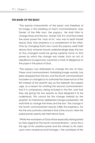### **THE MARK OF THE BEAST**

"The special characteristic of the beast, and therefore of his image, is the breaking of God's commandments. Says Daniel, of the little horn, the papacy: 'He shall think to change times and the law.' Daniel 7:25, R.V. And Paul styled the same power the 'man of sin,' who was to exalt himself above God. One prophecy is a complement of the other. Only by changing God's law could the papacy exalt itself above God; whoever should understandingly keep the law as thus changed would be giving supreme honor to that power by which the change was made. Such an act of obedience to papal laws would be a mark of allegiance to the pope in the place of God.

"The papacy has attempted to change the law of God. These cond commandment, forbidding image worship, has been dropped from the law, and the fourth commandment has been so changed as to authorize the observance of the first instead of the seventh day as the Sabbath. But papists urge, as a reason for omitting the second commandment, that it is unnecessary, being included in the first, and that they are giving the law exactly as God designed it to be understood. This cannot be the change foretold by the prophet. An intentional, deliberate change is presented: 'He shall think to change the times and the law.' The change in the fourth commandment exactly fulfills the prophecy. For this the only authority claimed is that of the church. Here the papal power openly sets itself above God.

"While the worshipers of God will be especially distinguished by their regard for the fourth commandments,—since this is the sign of His creative power and the witness to His claim upon man's reverence and homage,—the worshipers of the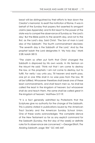beast will be distinguished by their efforts to tear down the Creator's memorial, to exalt the institution of Rome. It was in behalf of the Sunday that popery first asserted its arrogant claims (see Appendix); and its first resort to the power of the state was to compel the observance of Sunday as 'the Lord's day.' But the Bible points to the seventh day, and not to the first, as the Lord's day. Said Christ: 'The Son of man is Lord also of the Sabbath.' The fourth commandment declares: 'The seventh day is the Sabbath of the Lord.' And by the prophet Isaiah the Lord designates it: 'My holy day.' Mark 2:28; Isaiah 58:13.

"The claim so often put forth that Christ changed the Sabbath is disproved by His own words. In His Sermon on the Mount He said: 'Think not that I am come to destroy the law, or the prophets: I am not come to destroy, but to fulfill. For verily I say unto you, Till heaven and earth pass, one jot or one tittle shall in no wise pass from the law, till all be fulfilled. Whosoever therefore shall break one of these least commandments, and shall teach men so, he shall be called the least in the kingdom of heaven: but whosoever shall do and teach them, the same shall be called great in the kingdom of heaven,' Matthew 5:17-19.

"It is a fact generally admitted by Protestants that the Scriptures give no authority for the change of the Sabbath. This is plainly stated in publications issued by the American Tract Society and the American Sunday School Union. One of these works acknowledges 'the complete silence of the New Testament so far as any explicit command for the Sabbath [Sunday, the first day of the week] or definite rules for its observance are concerned.'—George Elliott, *The Abiding Sabbath,* page 184." GC 445-447.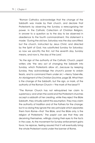"Roman Catholics acknowledge that the change of the Sabbath was made by their church, and declare that Protestants by observing the Sunday a rerecognizing her power. In the Catholic Catechism of Christian Religion, in answer to a question as to the day to be observed in obedience to the fourth commandment, this statement is made: 'During the old law, Saturday was the day sanctified; but the church, instructed by Jesus Christ, and directed by the Spirit of God, has substituted Sunday for Saturday; so now we sanctify the first, not the seventh day. Sunday means, and now is, the day of the Lord.'

"As the sign of the authority of the Catholic Church, papist writers cite 'the very act of changing the Sabbath into Sunday, which Protestants allow of;…because by keeping Sunday, they acknowledge the church's power to ordain feasts, and to command them under sin.'—Henry Tuberville, *An Abridgment of the Christian Doctrine*, page 58. What then is the change of the Sabbath, but the sign, or mark, of the authority of the Roman Church—'the mark of the beast'?

"The Roman Church has not relinquished her claim to supremacy; and when the world and the Protestant churches accept a sabbath of her creating, while they reject the Bible Sabbath, they virtually admit this assumption. They may claim the authority of tradition and of the Fathers for the change; but in so doing they ignore the very principle which separates them from Rome—that 'the Bible, and the Bible only, is the religion of Protestants.' The papist can see that they are deceiving themselves, willingly closing their eyes to the facts in the case. As the movement for Sunday enforcement gains favor, he rejoices, feeling assured that it will eventually bring the whole Protestant world under the banner of Rome.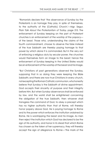"Romanists declare that 'the observance of Sunday by the Protestants is an homage they pay, in spite of themselves, to the authority of the [Catholic] Church.'—Mgr. Segur, *Plain Talk About the Protestantism of Today,* page 213. The enforcement of Sunday keeping on the part of Protestant churches is an enforcement of the worship of the papacy of the beast. Those who, understanding the claims of the fourth commandment, choose to observe the false instead of the true Sabbath are thereby paying homage to that power by which alone it is commanded. But in the very act of enforcing a religious duty by secular power, the churches would themselves form an image to the beast; hence the enforcement of Sunday keeping in the United States would be an enforcement of the worship of the beast and his image.

"But Christians of past generations observed the Sunday, supposing that in so doing they were keeping the Bible Sabbath; and there are now true Christians in every church, not excepting the Roman Catholic communion, who honestly believe that Sunday is the Sabbath of divine appointment. God accepts their sincerity of purpose and their integrity before Him. But when Sunday observance shall be enforced by law, and the world shall be enlightened concerning the obligation of the true Sabbath, then whoever shall transgress the command of God, to obey a precept which has no higher authority than that of Rome, will thereby honor popery above God. He is paying homage to Rome and to the power which enforces the institution ordained by Rome. He is worshipping the beast and his image. As men then reject the institution which God has declared to be the sign of His authority, and honor in its stead that which Rome has chosen as the token of her supremacy, they will thereby accept the sign of allegiance to Rome—'the mark of the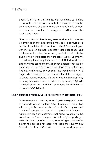beast.' And it is not until the issue is thus plainly set before the people, and they are brought to choose between the commandments of God and the commandments of men, that those who continue in transgression will receive 'the mark of the beast.'

"The most fearful threatening ever addressed to mortals is contained in the third angel's message. That must be a terrible sin which calls down the wrath of God unmingled with mercy. Men are not to be left in darkness concerning this important matter; the warning against this sin is to be given to the world before the visitation of God's judgments, that all may know why they are to be inflicted, and have opportunity to escape them. Prophecy declares that the first angel would make his announcement to 'every nation, and kindred, and tongue, and people.' The warning of the third angel, which forms a part of the same threefold message, is to be no less widespread. It is represented in the prophecy as being proclaimed with a loud voice, by an angel flying in the midst of heaven; and it will command the attention of the world." GC 447-450.

### **USA NATIONAL APOSTASY WILL BE FOLLOWED BY NATIONAL RUIN**

"A time is coming when the law of God is, in a special sense, to be made void in our land (USA). The rulers of our nation will, by legislative enactments, enforce the Sunday law, and thus God's people be brought into great peril. When our nation, in its legislative councils, shall enact laws to bind the consciences of men in regard to their religious privileges, enforcing Sunday observance, and bringing oppressive power to bear against those who keep the seventh-day Sabbath, the law of God will, to all intents and purposes,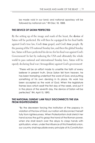be made void in our land; and national apostasy will be followed by national ruin." RH Dec 18, 1888.

### **THE DEVICE OF SATAN PERFECTED**

By the setting up of the image and mark of the beast, the **device** of Satan will be perfected. He will then be equipped for his final battle against God's true law, God's **true** gospel, and God's **true** people. By the passing of the US national Sunday law, and then the global Sunday law, Satan will have perfected his device for his final war against God's Government! In fact by inducing the USA and ultimately the whole world to pass national and international Sunday laws, Satan will be openly declaring final war (Armageddon) against God's government!

"There will be an effort made to unsettle the faith of every believer in present truth. Since Satan fell from heaven, he has been trampling underfoot the word of God, and putting something of his own devising in its place. His work has been accepted as the work of God. When the legislature frames laws which exalt the first day of the week, and put it in the place of the seventh day, the device of Satan will be perfected." RH, April 15, 1890.

### **THE NATIONAL SUNDAY LAW FULLY DISCONNECTS THE USA FROM RIGHTEOUSNESS**

"By the decreeen forcing the institution of the papacy in violation of the law of God, our nation will disconnect herself fully from righteousness. When Protestantism shall stretch her hand across the gulf to grasp the hand of the Roman power, when she shall reach over the abyss to clasp hands with spiritualism, when, under the influence of this threefold union, our country shall repudiate every principle of its Constitution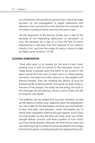as a Protestant and republican government, and shall make provision for the propagation of papal falsehoods and delusions, then we may know that the time has come for the marvelous working of Satan and that the end is near.

"As the approach of the Roman armies was a sign to the disciples of the impending destruction of Jerusalem, so may this apostasy be a sign to us that the limit of God's forbearance is reached, that the measure of our nation's iniquity is full, and that the angel of mercy is about to take her flight, never to return." 5T 451.

### **CLOSING ADMONITION**

"God calls upon us to awake, for the end is near. Every passing hour is one of activity in the heavenly courts to make ready a people upon the earth to act a part in the great scenes that are soon to open upon us. These passing moments, that seem of so little value to us, are weighty with eternal interests. They are molding the destiny of souls for everlasting life or eternal death. The words we utter today in the ears of the people, the works we are doing, the spirit of the message we are bearing, will be a savor of life unto life or of death unto death.

"My brethren, do you realize that your own salvation, as well as the destiny of other souls, depends upon the preparation you now make for the trial before us? Have you that intensity of zeal, that piety and devotion, which will enable you to stand when opposition shall be brought against you? If God has ever spoken by me, the time will come when you will be brought before councils, and every position of truth which you hold will be severely criticized. The time that so many are now allowing to go to waste should be devoted to the charge that God has given us of preparing for the approaching crisis.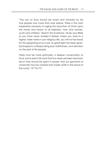"The law of God should be loved and honored by His true people now more than ever before. There is the most imperative necessity of urging the injunction of Christ upon the minds and hearts of all believers, men and women, youth and children: 'Search the Scriptures.' Study your Bible as you have never studied it before. Unless you arise to a higher, holier state in your religious life, you will not be ready for the appearing of our Lord. As great light has been given, God expects corresponding zeal, faithfulness, and devotion on the part of His people.

There must be more spirituality, a deeper consecration to God, and a zeal in His work that has never yet been reached. Much time should be spent in prayer, that our garments of character may be washed and made white in the blood of the Lamb." 5T 716-717.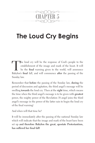

## **The Loud Cry Begins**

The loud cry will be the response of God's people to the establishment of the image and mark of the beast. It will be the final warning given to the world, will announce establishment of the image and mark of the beast. It will be the **final** warning given to the world, will announce Babylon's **final** fall, and will commence **after** the passing of the Sunday law.

Remember that **before** the passing of the Sunday law, **during** the period of discussion and agitation, the third angel's message will be swelling **towards** the loud cry. Then at the **right** time, which means the time when the third angel's message is to be given with **greatest**  power, the mighty power of the Revelation 18 angel joins the third angel's message in the power of the latter rain to begin the loud cry of the final warning!

And when will that time be?

It will be immediately after the passing of the national Sunday law which will indicate that the image and mark of the beast have been set up **and therefore Babylon the great, apostate Protestantism, has suffered her final fall!**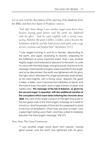Let us now read the description of the opening of the **loud cry** from the Bible and then two Spirit of Prophecy sources.

*"And after these things I saw another angel come down from heaven, having great power; and the earth was lightened with his glory. 2 And he cried mightily with a strong voice, saying, Babylon the great is fallen, is fallen, and is become the habitation of devils, and the hold of every foul spirit, and a cage of every unclean and hateful bird." Revelation 18:1-2.* 

"I saw angels hurrying to and fro in heaven, descending to the earth, and again ascending to heaven, preparing for the fulfillment of some important event. Then I saw another mighty angel commissioned to descend to the earth, to unite his voice with the third angel, and give power and force to his message. Great power and glory were imparted to the angel, and as he descended, the earth was lightened with his glory. The light which attended this angel penetrated everywhere, as he cried mightily, with a strong voice, 'Babylon the great is fallen, is fallen, and is become the habitation of devils, and the hold of every foul spirit, and a cage of every unclean and hateful bird.' **The message of the fall of Babylon, as given by the second angel, is repeated, with the additional mention of the corruptions which have been entering the churches since 1844.** The work of this angel comes in at the right time to join in the last great work of the third angel's message as it swells to a loud cry. And the people of God are thus prepared to stand in the hour of temptation, which they are soon to meet. I saw a great light resting upon them, and they united to fearlessly proclaim the third angel's message." EW 277.

### Now, from *The Great Controversy*:

"'I saw another angel come down from heaven, having great power; and the earth was lightened with his glory.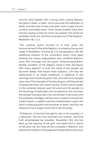And he cried mightily with a strong voice, saying, Babylon the great is fallen, is fallen, and is become the habitation of devils, and the hold of every foul spirit, and a cage of every unclean and hateful bird.' 'And I heard another voice from heaven, saying, Come out of her, My people, that ye be not partakers of her sins, and that ye receive not of her plagues.' Revelation 18:1, 2, 4.

"This scripture points forward to a time when the announcement of the fall of Babylon, as made by the second angel of Revelation 14 (verse 8), is to be repeated, with the additional mention of the corruptions which have been entering the various organizations that constitute Babylon, since that message was first given, inthesummerof1844.A terrible condition of the religious world is here described. With every rejection of truth the minds of the people will become darker, their hearts more stubborn, until they are entrenched in an infidel hardihood. In defiance of the warnings which God has given, they will continue to trample upon one of the precepts of the Decalogue, until they are led to persecute those who hold it sacred. Christ is set at naught in the contempt placed upon His word and His people. As the teachings of spiritualism are accepted by the churches, the restraint imposed upon the carnal heart is removed, and the profession of religion will become a cloak to conceal the basest iniquity. A belief in spiritual manifestations opens the door to seducing spirits and doctrines of devils, and thus the influence of evil angels will be felt in the churches.

"Of Babylon, at the time brought to view in this prophecy, it is declared: 'Her sins have reached unto heaven, and God hath remembered her iniquities.' Revelation 18:5. She has filled up the measure of her guilt, and destruction is about to fall upon her. But God still has a people in Babylon; and before the visitation of His judgments these faithful ones must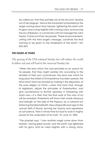be called out, that they partake not of her sins and 'receive not of her plagues.' Hence the movement symbolized by the angel coming down from heaven, lightening the earth with his glory and crying mightily with a strong voice, announcing the sins of Babylon. In connection with his message the call is heard: 'Come out of her, My people. 'These announcements, uniting with the third angel's message, constitute the final warning to be given to the inhabitants of the earth." GC 603-604.

### **THE ISSUES AT STAKE**

The passing of the USA national Sunday law will induce the world to follow suit and will lead to the universal Sunday law.

"When the land which the Lord provided as an asylum for his people, that they might worship him according to the dictates of their own consciences, the land over which for long years the shield of Omnipotence has been spread, the land which God has favored by making it the depository of the pure religion of Christ,—when that land shall, through its legislators, abjure the principles of Protestantism, and give countenance to Romish apostasy in tampering with God's law,—it is then that the final work of the man of sin will be revealed. Protestants will throw their whole influence and strength on the side of the Papacy; by a national act enforcing the false Sabbath, they will give life and vigor to the corrupt faith of Rome, reviving her tyranny and oppression of conscience. Then it will be time for God to work in mighty power for the vindication of his truth." ST, June 12, 1893.

"The prophet says: 'I saw another angel come down from heaven, having great power; and the earth was lightened with his glory. And he cried mightily with a strong voice,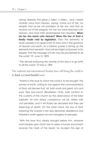saying, Babylon the great is fallen, is fallen….And I heard another voice from heaven, saying, Come out of her, my people, that ye be not partakers of her sins, and that ye receive not of her plagues. For her sins have reached unto heaven, and God hath remembered her iniquities.' **When do her sins reach unto heaven? When the law of God is finally made void by legislation.** Then the extremity of God's people is his opportunity to show who is the governor of heaven and earth. As a Satanic power is stirring up the elements from beneath, God will send light and power to his people, that the message of truth may be proclaimed to all the world." ST, June 12, 1893.

"The decree enforcing the worship of this day is to go forth to all the world." ST May 6, 1894.

The national and international Sunday laws will bring the world to its **final** and **most fearful** issue!

"Fearful is the issue to which the world is to be brought. The powers of earth, uniting to war against the commandments of God, will decree that 'all, both small and great, rich and poor, free and bond' (Revelation 13:16), shall conform to the customs of the church by the observance of the false sabbath. All who refuse compliance will be visited with civil penalties, and it will finally be declared that they are deserving of death. On the other hand, the law of God enjoining the Creator's rest day demands obedience and threatens wrath against all who transgress its precepts.

"With the issue thus clearly brought before him, whoever shall trample upon God's law to obey a human enactment receives the mark of the beast; he accepts the sign of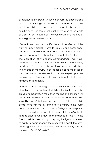allegiance to the power which he chooses to obey instead of God. The warning from heaven is: 'If any man worship the beast and his image, and receive his mark in his forehead, or in his hand, the same shall drink of the wine of the wrath of God, which is poured out without mixture into the cup of His indignation.' Revelation 14:9, 10.

"But not one is made to suffer the wrath of God until the truth has been brought home to his mind and conscience, and has been rejected. There are many who have never had an opportunity to hear the special truths for this time. The obligation of the fourth commandment has never been set before them in its true light. He who reads every heart and tries every motive will leave none who desire a knowledge of the truth, to be deceived as to the issues of the controversy. The decree is not to be urged upon the people blindly. Everyone is to have sufficient light to make his decision intelligently.

"The Sabbath will be the great test of loyalty, for it is the point of truth especially controverted. When the final test shall be brought to bear upon men, then the line of distinction will be drawn between those who serve God and those who serve Him not. While the observance of the false sabbath in compliance with the law of the state, contrary to the fourth commandment, will be an avowal of allegiance to a power that is in opposition to God, the keeping of the true Sabbath, in obedience to God's law, is an evidence of loyalty to the Creator. While one class, by accepting the sign of submission to earthly powers, receive the mark of the beast, the other choosing the token of allegiance to divine authority, receive the seal of God." GC 604-605.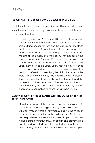#### **IMPORTANT HISTORY OF HOW GOD WORKS IN A CRISIS**

In all the religious crises of the past God sent His servants to rebuke sin in the world and in the religious organizations. So it will be again in the final showdown.

"In every generation God has sent His servants to rebuke sin, both in the world and in the church. But the people desire smooth things spoken to them, and the pure,unvarnishedtruth isnot acceptable. Many reformers, inentering upon their work, determined to exercise great prudence in attacking the sins of the church and the nation. They hoped, by the example of a pure Christian life, to lead the people back to the doctrines of the Bible. But the Spirit of God came upon them as it came upon Elijah, moving him to rebuke the sins of a wicked king and an apostate people; they could not refrain from preaching the plain utterances of the Bible—doctrines which they had been reluctant to present. They were impelled to zealously declare the truth and the danger which threatened souls. The words which the Lord gave them they uttered, fearless of consequences, and the people were compelled to hear the warning." GC 606.

### **GOD WILL QUALIFY HIS SERVANTS WITH THE LATTER RAIN AND SEND THEM FORTH**

"Thus the message of the third angel will be proclaimed. As the time comes for it to be given with greatest power, the Lord will work through humble instruments, leading the minds of those who consecrate themselves to his service. The laborers will be qualified rather by the unction of his Spirit than by the training of literary institutions. Men of faith and prayer will be constrained to go forth with holy zeal, declaring the words which God gives them. The sins of Babylon will be laid open.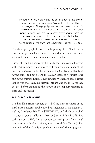The fearful results of enforcing the observances of the church by civil authority, the inroads of Spiritualism, the stealthy but rapid progress of the papal power,—all will be unmasked. By these solemn warnings the people will be stirred. Thousands upon thousands will listen who have never heard words like these. In amazement they hear the testimony that Babylon is the church, fallen because of her errors and sins, because of her rejection of the truth sent to her from Heaven." GC 606.

The above paragraph describes the beginning of the "loud cry" or final warning. It contains some very important information which we need to analyze in order to understand it better.

First of all, the time comes for the third angel's message to be given with greatest power which means that the image and mark of the beast have been set up by the **passing** of the Sunday law. That time having come, **and not before,** the LORD begins to work with latter rain power through **humble instruments.** We need to take a closer look at who these **humble instruments** are, and the messages they declare, before examining the nature of the popular response to them and the messages.

### **THE LOUD CRY SERVANTS**

The humble instruments here described are those members of the third angel's movement who have been victorious in the Laodicean shaking (Revelation 3:14-22 and EW 269-271), and who have reached the stage of growth called the **"ear"** by Jesus in Mark 4:26-29. The early rain of the Holy Spirit produces spiritual growth from initial conversion (the blade) to victory over every defect (the ear). The latter rain of the Holy Spirit produces **advanced ripening growth**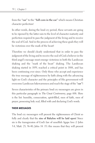from the **"ear"** to the **"full corn in the ear"** which means Christian character perfection!

In other words, during the loud cry period, these servants are going to be ripened by the latter rain to the level of character maturity and perfection required to pass the judgment of the living and to receive the seal of God. And in the process of achieving these goals they will be victorious over the mark of the beast!

Therefore we should clearly understand that in order to pass the judgment of the living and to receive the seal of God a believer in the third angel's message must emerge victorious in both the Laodicean shaking and the "mark of the beast" shaking. The Laodicean shaking started in 1859, reached a critical point in 1888, and has been continuing ever since. Only those who accept and experience the true message of righteousness by faith along with the advancing light on God's character and the principles of His government will overcome Laodicean lukewarmness and reach the stage of the **"ear"!** 

Seven characteristics of the primary loud cry messengers are given in this particular paragraph in *The Great Controversy,* page 606. Here is the list: humility, consecration, spirit-filled, men of faith, men of prayer, possessing holy zeal, filled with and declaring God's words.

### **THEIR MESSAGES**

The loud cry messengers will present the righteousness of Christ so fully and clearly that the **sins of Babylon will be laid open!** Since sin is the transgression of God's law of unselfish Agape love (1 John 3:4, Matt. 23; 36-40; John 14: 15) this means that they will present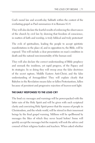God's moral law and seventh-day Sabbath within the context of the everlasting gospel as Paul summarizes it in Romans 8:1-4.

They will also declare the fearful results of enforcing the observances of the church by civil law by showing that freedom of conscience, in matters of faith and worship, is truly biblical and truly protestant!

The evils of spiritualism, leading the people to accept spiritistic manifestations in the place of, and in opposition to, the Bible, will be exposed. This will include a clear presentation on man's condition in death and the natural non-immortality of the human soul.

They will also declare the correct understanding of Bible prophecy and unmask the insidious, yet rapid progress, of the Papacy and its strategies. In so doing they will sweep away the false doctrines of the secret rapture, Middle Eastern Anti-Christ, and the false understanding of Armageddon! They will explain clearly that Babylon in the Revelation means false or fallen Protestantism, fallen because of persistent and progressive rejection of heaven-sent light.

### **THE EARLY RESPONSES TO THE LOUD CRY**

The loud cry messages and warnings will be power-packed with the latter rain of the Holy Spirit and will be given with such scriptural clarity and convicting Holy Spirit power that the masses of people in Christendom, and the whole world, will be stirred in their innermost beings by the final gospel warning. Millions will be spellbound by messages the likes of which they never heard before! Some will quickly accept the messages but the majority will seek the advice and counsel of their religious leaders and teachers. When asked whether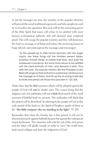or not the messages are true, the ministry of the popular churches will present the usual traditional arguments and false prophecies and try to trivialize the questions. But such will be the convicting power of the Holy Spirit that many will refuse to be satisfied with mere human ecclesiastical authority and will demand clear scriptural proof. This will enrage the popular ministry and they will denounce the loud cry message as of Satan and induce the sin-loving masses to heap ridicule and contempt on the messages and messengers.

"As the people go to their former teachers with the eager inquiry, Are these things so? the ministers present fables, prophesy smooth things, to soothe their fears, and quiet the awakened conscience. But since many refuse to be satisfied with the mere authority of men, and demand a plain 'Thus saith the Lord,' the popular ministry, like the Pharisees of old, filled with anger as their authority is questioned, will denounce the message as of Satan, and stir up the sin-loving multitudes to revile and persecute those who proclaim it." GC 606.

Notice here that the **first** measures which will be adopted against the people of God will **not** be drastic ones. The reason being that the religious and civil authorities will not at **first** think much of the small remnant of faithful loud cry servants. The authorities will think that the protest will be short-lived. In referring to the people of God in this early period of the loud cry, the Spirit of Prophecy speaks of them as the **"the little company who are standing in the light."** 5T 209.

Remember that when the Sunday law is first passed, it will not be directed primarily against Sabbath keepers but against the widespread moral declension. The churches will seek the aid of the civil power and the latter will gladly comply in order to "save" the world from total moral collapse and from the judgments of God.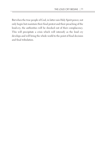But when the true people of God, in latter rain Holy Spirit power, not only begin but maintain their final protest and their preaching of the loud-cry, the authorities will be shocked out of their complacency. This will precipitate a crisis which will intensify as the loud cry develops and will bring the whole world to the point of final decision and final tribulation.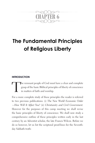

### **The Fundamental Principles of Religious Liberty**

### **INTRODUCTION**

The remnant people of God must have a clear and complete grasp of the basic Biblical principles of liberty of conscience in matters of faith and worship. grasp of the basic Biblical principles of liberty of conscience in matters of faith and worship.

For a more complete study of these principles the reader is referred to two previous publications: (i) *The New World Economic Order —How Will It Affect You?* (ii) *Christianity and Civil Government.*  However for the purposes of this camp meeting we shall revise the basic principles of liberty of conscience. We shall now study a comprehensive outline of these principles written early in the last century by an Adventist scholar, the late Francis Wilcox. Before we do so however, let us list the scriptural proof-lines for the Seventhday Sabbath truth: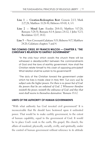- **Line 1 Creation-Redemption Rest:** Genesis 2:1-3; Mark 2:27,28; Matthew 11:28-30; Hebrews 4:9-10, 4, 1-3.
- **Line 2 Moral Law:** Exodus 20:8-11; Matthew 5:17-20; Romans 3:28-31; Romans 8:1-4; James 2:8-12; 1 John 5:2-3; Revelation 12:17; 14:12.
- **Line 3** —New Covenant:Galatians 3:15; Hebrews 9:17; Matthew 24:20; Galatians chapters 3 and 4.

### *THE COMING CRISIS,* **BY FRANCIS WILCOX — CHAPTER 5, "THE CHRISTIAN'S RELATION TO EARTHLY GOVERNMENT"**

"In the crisis hour which awaits the church there will be witnessed a deadlyconflict between the commandments of God and the laws of earthly government. How shall the Christian relate himself to this clash of opposing principles? What relation shall he sustain to his government?

"The duty of the Christian toward the government under which he lives is made clear in Holy Writ: *'Let every soul be subject unto the higher powers. For there is no power but of God: the powers that be are ordained of God. 2 Whosoever therefore resisteth the power, resisteth the ordinance of God: and they that resist shall receive to themselves damnation.' Romans 13:1-2.* 

### **LIMITS OF THE AUTHORITY OF HUMAN GOVERNMENTS**

"With what authority has God invested civil government? It is inconceivable that He should have bestowed upon it unlimited power. That would be to make earthly government, to the extent of human capability, equal to the government of God. It would be to place God's work in the earth, His gospel, His church, the affairs of mankind, physically, socially, civilly, and spiritually, under the control of human government without reference to its attitude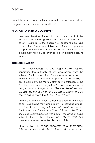toward the principles and problems involved. This we cannot believe the great Ruler of the universe would do."

### **RELATION TO EARTHLY GOVERNMENT**

"We are therefore forced to the conclusion that the jurisdiction of human government is limited to the sphere of civil relations, to the decision of questions governing the relation of man to his fellow men. There is a sphere the personal relation of man to his Maker—into which civil government has no God-given or Heaven-ordained right to intrude.

### **GOD AND CAESAR**

"Christ clearly recognized and taught this dividing line separating the authority of civil government from the sphere of spiritual relations. To some who came to Him inquiring whether it was right to pay tribute to Caesar, or civil government, the Master, after calling attention to the fact that they were recognizing Caesar's government by using Caesar's coinage, replied, *'Render therefore unto Caesar the things which are Caesar's; and unto God the things that are God's.'* See Matt. 22:16-21.

"There is a sphere in which Caesar may operate. In the field of civil relations he may range freely. He should be a terror to evil works, *'a revenger to execute wrath upon him that doeth evi1.'* In this he is *'the minister of God,'* and should be loyally supported with tribute—the Christian being subject to these civil enactments, *'not only for wrath, but also for conscience' sake.' Romans 13:3-6.* 

"The Christian is to *'render therefore to all their dues: tribute to whom tribute is due; custom to whom*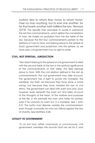*custom; fear to whom fear; honor to whom honor. Owe no man anything, but to love one another: for he that loveth another hath fulfilled the law.' Romans 13:7-8.* The apostle then proceeds to quote in substance the last five commandments, which define the civil relations of man. He makes no quotation from the first table of the law, because the first four commandments pertain to the relations of man to God, and belong alone to the sphere of God's government and jurisdiction. Into this sphere, as we have said, civil government has no right to enter.

### **CIVIL, NOT SPIRITUAL, JURISDICTION**

"Nor does it belong to the sphere of civil government to deal with the second table of the law in the spiritual significance of the commandments of that table. This field belongs alone to God. With the civil relation defined in the last six commandments, the civil government may take account. The government has a right to punish the murderer, the adulterer, the thief, not because they have done a moral wrong, but because they have violated the law of civil ethics. The government can deal with overt acts only. God, however, looks beneath the overt act and takes account of the thoughts of the heart, of the motives and purposes of the life. In His estimate the man who hates his brother, even if he commits no overt act, is a murderer. See 1 John 3:15. The lustful man likewise violates the commandment, even though outwardly he may not offend against the law of chastity. See Matthew 5:28.

### **LOYALTY TO GOVERNMENT**

"In an evil hour, either consciously or unconsciously, civil government oversteps the bounds God has set for it, and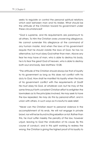seeks to regulate or control the personal spiritual relations which exist between man and his Maker. What should be the attitude of the Christian toward his government under these circumstances?

"God is supreme, and His requirements are paramount to all others. To Him the Christian owes unswerving allegiance. He cannot surrender this allegiance at the command of any human master. And when the laws of his government require that he should violate the laws of God, he has no alternative, but must obey God rather than men. Above any fear he may have of man, who is able to destroy his body, he is to fear the great God of heaven, who is able to destroy both soul and body. See Matthew 10:28.

"The attitude of the Christian should always be that of loyalty to his government as long as this does not conflict with his duty to God. How shall he manifest his loyalty when the laws of his government conflict with the requirements of God? He must obey his God, at whatever cost, but he may at the same time put forth consistent Christian effort to enlighten the lawmakers as to the principles involved. He may seek to have the law repealed. He may do this by personal effort, and in union with others, in such ways as it is lawful to seek relief.

"Never can the Christian resort to personal violence in the accomplishment of his ends. He will not engage in private brawl, nor will he be found inciting rebellion or riot. Rather than this, he must suffer meekly the penalty of the law, however unjust, leaving to God the vindication of his cause. By this course of conduct, and in this spirit working to redress the wrong, the Christian is giving the highest proof of his loyalty to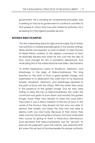government. He is standing for fundamental principles; and in seeking to induce his government to confine its activities to that sphere to which God has justly limited its authority, he is rendering to it the highest possible service.

### **NOTABLE BIBLE EXAMPLES**

"For this undeviating stand for right and principle, the Christian has authority in notable examples given in the sacred writings. When Daniel was required, on pain of death, to obey the law of Medo-Persia contrary to the express command of God, he resolutely refused and when he was cast into the den of lions, God wrought for him a wonderful deliverance, thus vindicating him in the noble stand he had taken. See Daniel 6.

"A similar experience came to Shadrach, Meshach, and Abednego in the reign of Nebuchadnezzar. This king erected on the plain of Dura a great golden image, and assembled to its dedication the chief men of his extensive empire. Shadrach, Meshach, and Abednego repaired to the plain of Dura with the others. With the others they stood in the presence of the golden image. Thus far they were willing to obey the law of Nebuchadnezzar. But when the command was given to bow down and worship the golden image, these three men refused to obey the royal edict. They knew it was a direct violation of the law of God. In the words of the Saviour, they feared not him who was able to destroy their bodies, but rather the One who was able to destroy both soul and body. Because of their stand, they were cast into the burning fiery furnace, but God vindicated their course by giving to them a miraculous deliverance. God declared that Nebuchadnezzar was His 'servant,' to execute His judgments upon the nations. See Jeremiah 25:9. But when this servant of God exceeded his proper authority,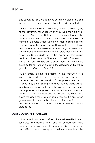and sought to legislate in things pertaining alone to God's jurisdiction, his folly was rebuked and his pride humbled.

"Daniel and the three worthies surely showed greater loyalty to the governments under which they lived than did their accusers. Darius and Nebuchadnezzar overstepped the bounds set for their authority by Omnipotence. By their acts they took a course which would inevitably lead to national ruin and invite the judgments of Heaven. In resisting these unjust measures the servants of God sought to save their governments from this dire calamity. Surely they manifested a loyalty to God and a loyalty to their governments in striking contrast to the conduct of those who in their lofty claims to patriotism were willing to put to death men with whom there could be found no fault except in the allegiance which they gave to their God. See Dan. 6:5.

"'Government is never the gainer in the execution of a law that is manifestly unjust….Conscientious men are not the enemies, but the friends, of any government but a tyranny. They are its strength, and not its weakness. Daniel, in Babylon, praying, contrary to the law, was the true friend and supporter of the government; while those who, in their pretended zeal for the law and the constitution, would strike down the good man, were its real enemies. It is only when government transcends its sphere that it comes in conflict with the consciences of men.' James H. Fairchild, *Moral Science,* p. 179.

### **OBEY GOD RATHER THAN MEN**

"Nor are such instances confined alone to the old testament scriptures. The apostle Peter and his companions were brought into similar straits. Commanded by ruling Jewish authorities not to teach nor preach in the name of Jesus, the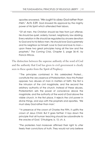apostles answered, *'We ought to obey God rather than men.' Acts 5:29.* God showed His approval by the mighty power of His Spirit which attended their labors.

"Of all men, the Christian should be free from just offense. He should be quiet, orderly, honest, neighborly, law abiding. Every relation in life should be regulated by sincere devotion to God and to his fellow men. He should love God supremely and his neighbor as himself. Love to God and love to man upon these two great principles hang all the law and the prophets." *The Coming Crisis*, Chapter 5, page 36-41, by Francis Wilcox.

The distinction between the supreme authority of the word of God and the authority that God has given to civil government is clearly seen in these quotes from the Spirit of Prophecy:

"'The principles contained in this celebrated Protest… constitute the very essence of Protestantism. Now this Protest opposes two abuses of man in matters of faith: the first is the intrusion of the civil magistrate, and the second the arbitrary authority of the church. Instead of these abuses, Protestantism sets the power of conscience above the magistrate, and the authority of the word of God above the visible church. In the first place, it rejects the civil power in divine things, and says with the prophets and apostles, 'We must obey God rather than man.'

"'In presence of the crown of Charles the Fifth, it uplifts the crown of Jesus Christ. But it goes farther: it lays down the principle that all human teaching should be subordinate to the oracles of God.' D'Aubigne, b. 13, ch. 6.

"The protesters had moreover affirmed their right to utter freely their convictions of truth. They would not only believe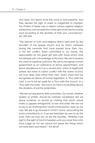and obey, but teach what the word of God presents, and they denied the right of priest or magistrate to interfere. The Protest of Spires was a solemn witness against religious intolerance, and an assertion of the right of all men to worship God according to the dictates of their own consciences." GC 203-204.

"The banner of truth and religious liberty held aloft by the founders of the gospel church and by God's witnesses during the centuries that have passed since then, has, in this last conflict, been committed to our hands. The responsibility for this great gift rests with those whom God has blessed with a knowledge of His word. We are to receive this word as supreme authority. We are to recognize human government as an ordinance of divine appointment, and teach obedience to it as a sacred duty, within its legitimate sphere. But when its claims conflict with the claims of God, we must obey God rather than men. God's word must be recognized as above all human legislation. A 'Thus saith the Lord' is not to be set aside for a 'Thus saith the church' or a 'Thus saith the state.' The crown of Christ is to be lifted above the diadems of earthly potentates.

"We are not required to defy authorities. Our words, whether spoken or written, should be carefully considered, lest we place ourselves on record as uttering that which would make us appear antagonistic to law and order. We are not to say or do anything that would unnecessarily close up our way. We are to go forward in Christ's name, advocating the truths committed to us. If we are forbidden by men to do this work, then we may say, as did the apostles, 'Whether it be right in the sight of God to hearken unto you more than unto God, judge ye. For we cannot but speak the things which we have seen and heard.'" AA 68-69.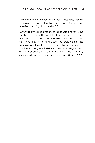"Pointing to the inscription on the coin, Jesus said, 'Render therefore unto Caesar the things which are Caesar's; and unto God the things that are God's.'…

"Christ's reply was no evasion, but a candid answer to the question. Holding in His hand the Roman coin, upon which were stamped the name and image of Caesar, He declared that since they were living under the protection of the Roman power, they should render to that power the support it claimed, so long as this did not conflict with a higher duty. But while peaceably subject to the laws of the land, they should at all times give their first allegiance to God." DA 602.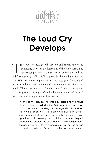

# **The Loud Cry Develops**

The loud-cry message will develop and extend under the convicting power of the latter rain of the Holy Spirit. The opposing arguments, based as they are on tradition, culture and false teaching will be fully argument by th convicting power of the latter rain of the Holy Spirit. The opposing arguments, based as they are on tradition, culture and false teaching, will be fully exposed by the word and Spirit of God. With ever increasing momentum the message will spread and its clarity and power will demand and command the attention of the people. The proponents of the Sunday law will become enraged at the message and messengers of the loud cry movement and this will lead to increasing aggression against the truth.

"As the controversy extends into new fields and the minds of the people are called to God's downtrodden law, Satan is astir. The power attending the message will only madden those who oppose it. The clergy will put forth almost superhuman efforts to shut away the light lest it should shine upon their flocks. By every means at their command they will endeavor to suppress the discussion of these vital questions. The church appeals to the strong arm of civil power, and, in this work, papists and Protestants unite. As the movement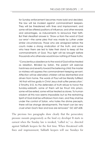for Sunday enforcement becomes more bold and decided, the law will be invoked against commandment keepers. They will be threatened with fines and imprisonment, and some will be offered positions of influence, and other rewards and advantages, as inducements to renounce their faith. But their steadfast answer is: 'Show us from the word of God our error'—the same plea that was made by Luther under similar circumstances. Those who are arraigned before the courts make a strong vindication of the truth, and some who hear them are led to take their stand to keep all the commandments of God. Thus light will be brought before thousands who otherwise would know nothing of these truths.

"Conscientious obedience to the word of God will be treated as rebellion. Blinded by Satan, the parent will exercise harshness and severity toward the believing child; the master or mistress will oppress the commandment-keeping servant. Affection will be alienated; children will be disinherited and driven from home. The words of Paul will be literally fulfilled: 'All that will live godly in Christ Jesus shall suffer persecution.' 2 Timothy 3:12. As the defenders of truth refuse to honor the Sunday-sabbath, some of them will be thrust into prison, some will be exiled, some will be treated as slaves. To human wisdom all this now seems impossible; but as the restraining Spirit of God shall be withdrawn from men, and they shall be under the control of Satan, who hates the divine precepts, there will be strange developments. The heart can be very cruel when God's fear and love are removed." GC 607-608.

The previous two paragraphs show clearly that the persecutory pressure mounts progressively as the loud cry develops! It starts in earnest when the Sunday law is invoked, "called in," i.e. directed against Sabbath keepers for the first time. When threatened with fines and imprisonment, Sabbath keepers will use Sundays for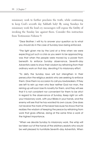missionary work to further proclaim the truth, while continuing to keep God's seventh day Sabbath holy! By using Sundays for missionary work the loud cry messengers will expose the futility of invoking the Sunday law against them. Consider this instruction from Testimonies Volume 9:

"Dear Brother: I will try to answer your question as to what you should do in the case of Sunday laws being enforced.

"The light given me by the Lord at a time when we were expecting just such a crisis as you seem to be approaching, was that when the people were moved by a power from beneath to enforce Sunday observance, Seventh-day Adventists were to show their wisdom by refraining from their ordinary work on that day, devoting it to missionary effort.

"To defy the Sunday laws will but strengthen in their persecution the religious zealots who are seeking to enforce them. Give them no occasion to call you lawbreakers. If they are left to rein up men who fear neither God nor man, the reining up will soon lose its novelty for them, and they will see that it is not consistent nor convenient for them to be strict in regard to the observance of Sunday. Keep right on with your missionary work, with your Bibles in your hands, and the enemy will see that he has worsted his own cause. One does not receive the mark of the beast because he shows that he realizes the wisdom of keeping the peace by refraining from work that gives offense, doing at the same time a work of the highest importance.

"When we devote Sunday to missionary work, the whip will be taken out of the hands of the arbitrary zealots who would be well pleased to humiliate Seventh-day Adventists. When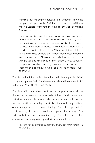they see that we employ ourselves on Sunday in visiting the people and opening the Scriptures to them, they will know that it is useless for them to try to hinder our work by making Sunday laws.

"Sunday can be used for carrying forward various lines of work that will accomplish much for the Lord. On this day openair meetings and cottage meetings can be held. Houseto-house work can be done. Those who write can devote this day to writing their articles. Whenever it is possible, let religious services be held on Sunday. Make these meetings intensely interesting. Sing genuine revival hymns, and speak with power and assurance of the Saviour's love. Speak on temperance and on true religious experience. You will thus learn much about how to work, and will reach many souls." 9T 232-233.

The civil and religious authorities will try to bribe the people of God into giving up their faith. But the remnant-elect will remain faithful and loyal to God, His Son and His law!

The time will come when the fines and imprisonments will be directed against keeping the seventh day Sabbath. It will be declared that since keeping the seventh day means refusal to honor the Sunday sabbath, seventh day Sabbath keeping should be penalized. When brought before the courts, the loyal Sabbath keepers will in most cases pay the fines and continue to preach the message. As a matter of fact the court testimonies of loyal Sabbath keepers will be a means of witnessing to many and winning some to the truth.

*"For we can do nothing against the truth, but for the truth." 2 Corinthians 13:8.*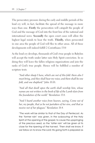The persecutory pressure during the early and middle periods of the loud cry will, in fact, facilitate the spread of the message in more ways than one. **Firstly** the persecution will catapult the people of God and the message of God into the front line of the national and international news. **Secondly** the open court cases will allow the highest legal minds to hear the truth. **Thirdly,** when persecuted in one area the people of God will flee to other areas. All of these developments will indeed fulfill 2 Corinthians 13:8!

As the loud cry develops, thousands of God's true people in Babylon will accept the truth under latter rain Holy Spirit conviction. In so doing they will leave the fallen religious organizations and join the ranks of God's true people. Hence will be fulfilled a number of scripture texts:

*"And other sheep I have, which are not of this fold: them also I must bring, and they shall hear my voice; and there shall be one fold, and one shepherd." John 10:16.* 

*"And all that dwell upon the earth shall worship him, whose names are not written in the book of life of the Lamb slain from the foundation of the world." Revelation 13:8.* 

*"And I heard another voice from heaven, saying, Come out of her, my people, that ye be not partakers of her sins, and that ye receive not of her plagues." Revelation 18:4.* 

"The work will be similar to that of the Day of Pentecost. As the 'former rain' was given, in the outpouring of the Holy Spirit at the opening of the gospel, to cause the upspringing of the precious seed, so the 'latter rain' will be given at its close for the ripening of the harvest. 'Then shall we know, if we follow on to know the Lord: His going forth is prepared as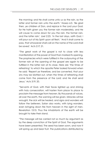the morning; and He shall come unto us as the rain, as the latter and former rain unto the earth.' Hosea 6:3. 'Be glad then, ye children of Zion, and rejoice in the Lord your God: for He hath given you the former rain moderately, and He will cause to come down for you the rain, the former rain, and the latter rain.' Joel 2:23. 'In the last days, saith God, I will pour out of My Spirit upon all flesh.' 'And it shall come to pass, that whosoever shall call on the name of the Lord shall be saved.' Acts 2:17, 21.

"The great work of the gospel is not to close with less manifestation of the power of God than marked its opening. The prophecies which were fulfilled in the outpouring of the former rain at the opening of the gospel are again to be fulfilled in the latter rain at its close. Here are 'the times of refreshing' to which the apostle Peter looked forward when he said: 'Repent ye therefore, and be converted, that your sins may be blotted out, when the times of refreshing shall come from the presence of the Lord; and He shall send Jesus.' Acts 3:19, 20.

"Servants of God, with their faces lighted up and shining with holy consecration, will hasten from place to place to proclaim the message from heaven. By thousands of voices, all over the earth, the warning will be given. Miracles will be wrought, the sick will be healed, and signs and wonders will follow the believers. Satan also works, with lying wonders, even bringing down fire from heaven in the sight of men. Revelation 13:13. Thus the inhabitants of the earth will be brought to take their stand.

"The message will be carried not so much by argument as by the deep conviction of the Spirit of God. The arguments have been presented. The seed has been sown, and now it will spring up and bear fruit. The publications distributed by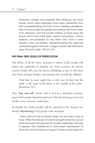missionary workers have exerted their influence, yet many whose minds were impressed have been prevented from fully comprehending the truth or from yielding obedience. Now the rays of light penetrate everywhere, the truth is seen in its clearness, and the honest children of God sever the bands which have held them. Family connections, church relations, are powerless to stay them now. Truth is more precious than all besides. Notwithstanding the agencies combined against the truth, a large number take their stand upon the Lord's side." GC 611-612.

# **THE FINAL TWO LEVELS OF PERSECUTION**

The failure of all the lesser measures to silence God's people will induce the authorities to legislate two final measures of extreme severity. Firstly will come the decree forbidding, to buy or sell, those who refuse to honor Sunday and renounce the seventh day Sabbath.

*"And that no man might buy or sell, save he that had the mark, or the name of the beast, or the number of his name." Revelation 13:17.* 

This **"buy and sell"** decree will in fact be a starvation sentence upon God's people abandoning them to life threatening poverty and terrible socio economic dislocation.

Eventually the death penalty will be attached to the Sunday law thereby **threatening** God's people with execution.

"'Man shall not live by bread alone, but by every word of God.' Often the follower of Christ is brought where he cannot serve God and carry forward his worldly enterprises. Perhaps it appears that obedience to some plain requirement of God will cut off his means of support. Satan would make him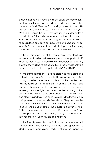believe that he must sacrifice his conscientious convictions. But the only thing in our world upon which we can rely is the word of God. 'Seek ye first the kingdom of God, and His righteousness; and all these things shall be added unto you.' Matt. 6:33. Even in this life it is not for our good to depart from the will of our Father in heaven. When we learn the power of His word, we shall not follow the suggestions of Satan in order to obtain food or to save our lives. Our only questions will be, What is God's command? and what His promise? Knowing these, we shall obey the one, and trust the other.

"In the last great conflict of the controversy with Satan those who are loyal to God will see every earthly support cut off. Because they refuse to break His law in obedience to earthly powers, they will be forbidden to buy or sell. It will finally be decreed that they shall be put to death." DA 121-122.

"As the storm approaches, a large class who have professed faith in the third angel's message, but have not been sanctified through obedience to the truth, abandon their position and join the ranks of the opposition. By uniting with the world and partaking of its spirit, they have come to view matters in nearly the same light; and when the test is brought, they are prepared to choose the easy, popular side. Men of talent and pleasing address, who once rejoiced in the truth, employ their powers to deceive and mislead souls. They become the most bitter enemies of their former brethren. When Sabbath keepers are brought before the courts to answer for their faith, these apostates are the most efficient agents of Satan to misrepresent and accuse them, and by false reports and insinuations to stir up the rulers against them.

"In this time of persecution the faith of the Lord's servants will be tried. They have faithfully given the warning, looking to God and to His word alone. God's Spirit, moving upon their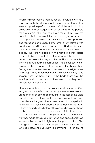hearts, has constrained them to speak. Stimulated with holy zeal, and with the divine impulse strong upon them, they entered upon the performance of their duties without coldly calculating the consequences of speaking to the people the word which the Lord had given them. They have not consulted their temporal interests, nor sought to preserve their reputation or their lives. Yet when the storm of opposition and reproach bursts upon them, some, overwhelmed with consternation, will be ready to exclaim: 'Had we foreseen the consequences of our words, we would have held our peace.' They are hedged in with difficulties. Satan assails them with fierce temptations. The work which they have undertaken seems far beyond their ability to accomplish. They are threatened with destruction. The enthusiasm which animated them is gone; yet they cannot turn back. Then, feeling their utter helplessness, they flee to the Mighty One for strength. They remember that the words which they have spoken were not theirs, but His who bade them give the warning. God put the truth into their hearts, and they could not forbear to proclaim it.

"The same trials have been experienced by men of God in ages past. Wycliffe, Huss, Luther, Tyndale, Baxter, Wesley, urged that all doctrines be brought to the test of the Bible and declared that they would renounce everything which it condemned. Against these men persecution raged with relentless fury; yet they ceased not to declare the truth. Different periods in the history of the church have each been marked by the development of some special truth, adapted to the necessities of God's people at that time. Every new truth has made its way against hatred and opposition; those who were blessed with its light were tempted and tried. The Lord gives a special truth for the people in an emergency. Who dare refuse to publish it? He commands His servants to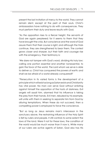present the last invitation of mercy to the world. They cannot remain silent, except at the peril of their souls. Christ's ambassadors have nothing to do with consequences. They must perform their duty and leave results with God.

"As the opposition rises to a fiercer height, the servants of God are again perplexed; for it seems to them that they have brought the crisis. But conscience and the word of God assure them that their course is right; and although the trials continue, they are strengthened to bear them. The contest grows closer and sharper, but their faith and courage rise with the emergency. Their testimony is:

'We dare not tamper with God's word, dividing His holy law; calling one portion essential and another nonessential, to gain the favor of the world. The Lord whom we serve is able to deliver us. Christ has conquered the powers of earth; and shall we be afraid of a world already conquered?'

"Persecution in its varied forms is the development of a principle which will exist as long as Satan exists and Christianity has vital power. No man can serve God without enlisting against himself the opposition of the hosts of darkness. Evil angels will assail him, alarmed that his influence is taking the prey from their hands. Evil men, rebuked by his example, will unite with them in seeking to separate him from God by alluring temptations. When these do not succeed, then a compelling power is employed to force the conscience.

"But so long as Jesus remains man's intercessor in the sanctuary above, the restraining influence of the Holy Spirit is felt by rulers and people. It still controls to some extent the laws of the land. Were it not for these laws, the condition of the world would be much worse than it now is. While many of our rulers are active agents of Satan, God also has His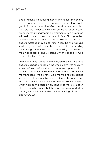agents among the leading men of the nation. The enemy moves upon his servants to propose measures that would greatly impede the work of God; but statesmen who fear the Lord are influenced by holy angels to oppose such propositions with unanswerable arguments. Thus a few men will hold in check a powerful current of evil. The opposition of the enemies of truth will be restrained that the third angel's message may do its work. When the final warning shall be given, it will arrest the attention of these leading men through whom the Lord is now working, and some of them will accept it, and will stand with the people of God through the time of trouble.

"The angel who unites in the proclamation of the third angel's message is to lighten the whole earth with his glory. A work of world-wide extent and unwonted power is here foretold. The advent movement of 1840-44 was a glorious manifestation of the power of God; the first angel's message was carried to every missionary station in the world, and in some countries there was the greatest religious interest which has been witnessed in any land since the Reformation of the sixteenth century; but these are to be exceeded by the mighty movement under the last warning of the third angel." GC 608-611.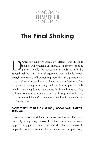

# **The Final Shaking**

The loud cry period the pressure put on God's<br>people will progressively increase in severity as time<br>passes. Initially the opposition to God's seventh day<br>Sebbeth will be in the form of argument seem, ridicule which people will progressively increase in severity as time passes. Initially the opposition to God's seventh day Sabbath will be in the form of argument, scorn, ridicule, which, though unpleasant, will be nothing more than is expected when anyone takes an unpopular stand. But when the authorities realize the power attending the message and the fixed purpose of God's people in standing for and proclaiming the Sabbath message, they will increase the persecutory pressure step by step until ultimately the "buy and sell decree" and the death penalty will be attached to the Sunday laws.

# **BASIC PRINCIPLES OF THE SHAKING (HAGGAI 2:6-7; HEBREWS 12:25-28)**

In any era of God's work there are always two shakings. The first is caused by a preparatory message from God, the second is caused by persecutory pressure. And only those who allow the message to prepare them are able to endure the persecution without apostatizing.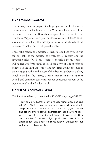# **THE PREPARATORY MESSAGE**

The message sent to prepare God's people for the final crisis is the counsel of the Faithful and True Witness to the church of the Laodiceans recorded in Revelation chapter three, verses 14 to 22. The Jones-Waggoner message of righteousness by faith (1888-1895) was, and is, essentially the message of Jesus to the church of the Laodiceans spelled out in full gospel clarity.

Those who receive the message of Jesus to Laodicea by receiving the full light of the message of righteousness by faith and the advancing light of God's true character (which is the true gospel) will be prepared for the final crisis. The majority of God's professed believers in the third angel's message have risen up in opposition to the message and this is the basis of the **first** or **Laodicean** shaking which started in the 1850's, became intense in the 1888-1901 period, and continues today with serious consequences both at the organizational and individual levels.

## **THE FIRST OR LAODICEAN SHAKING**

This Laodicean shaking is described in *Early Writings*, pages 269-271:

"I saw some, with strong faith and agonizing cries, pleading with God. Their countenances were pale and marked with deep anxiety, expressive of their internal struggle. Firmness and great earnestness was expressed in their countenances; large drops of perspiration fell from their foreheads. Now and then their faces would light up with the marks of God's approbation, and again the same solemn, earnest, anxious look would settle upon them.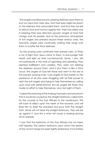"Evil angels crowded around, pressing darkness upon them to shut out Jesus from their view, that their eyes might be drawn to the darkness that surrounded them, and thus they be led to distrust God and murmur against Him. Their only safety was in keeping their eyes directed upward. Angels of God had charge over His people, and as the poisonous atmosphere of evil angels was pressed around these anxious ones, the heavenly angels were continually wafting their wings over them to scatter the thick darkness.

"As the praying ones continued their earnest cries, at times a ray of light from Jesus came to them, to encourage their hearts and light up their countenances. Some, I saw, did not participate in this work of agonizing and pleading. They seemed indifferent and careless. They were not resisting the darkness around them, and it shut them in like a thick cloud. The angels of God left these and went to the aid of the earnest, praying ones. I saw angels of God hasten to the assistance of all who were struggling with all their power to resist the evil angels and trying to help themselves by calling upon God with perseverance. But His angels left those who made no effort to help themselves, and I lost sight of them.

"I asked the meaning of the shaking I had seen and was shown that it would be caused by the straight testimony called forth by the counsel of the True Witness to the Laodiceans. This will have its effect upon the heart of the receiver, and will lead him to exalt the standard and pour forth the straight truth. Some will not bear this straight testimony. They will rise up against it, and this is what will cause a shaking among God's people.

"I saw that the testimony of the True Witness has not been half heeded. The solemn testimony upon which the destiny of the church hangs has been lightly esteemed, if not entirely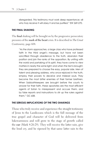disregarded. This testimony must work deep repentance; all who truly receive it will obey it and be purified." EW 269-270.

# **THE FINAL SHAKING**

The **final** shaking will be brought on by the progressive persecutory pressures of the **mark of the beast** crisis. It is described in *The Great Controversy,* page 608:

"As the storm approaches, a large class who have professed faith in the third angel's message, but have not been sanctified through obedience to the truth, abandon their position and join the ranks of the opposition. By uniting with the world and partaking of its spirit, they have come to view matters in nearly the same light; and when the test is brought, they are prepared to choose the easy, popular side. Men of talent and pleasing address, who once rejoiced in the truth, employ their powers to deceive and mislead souls. They become the most bitter enemies of their former brethren. When Sabbathkeepers are brought before the courts to answer for their faith, these apostates are the most efficient agents of Satan to misrepresent and accuse them, and by false reports and insinuations to stir up the rulers against them." GC 608.

# **THE SERIOUS IMPLICATIONS OF THE TWO SHAKINGS**

Those who truly receive and experience the straight testimony of Jesus to the Laodiceans which is the full message of the true gospel and character of God will be delivered from lukewarmness and will grow to the stage of growth called the **ear** (Mark 4:26-29). They will receive the latter rain, give the loud cry, and be ripened by that same latter rain to the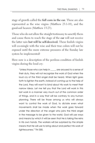stage of growth called the **full corn in the ear.** These are also represented as the wise virgins (Matthew 25:1-10), and the good-soil hearers (Matthew 13:23).

Those who do not allow the straight testimony to sanctify them and cause them to reach the stage of the **ear** will not receive the latter rain **but will be self-deceived.** These foolish virgins will co-mingle with the wise and their true colors will not be exposed until the more extreme pressures of the Sunday law system be implemented!

Here now is a description of the perilous condition of foolish virgins during the loud cry:

"Unless those who can help in \_\_\_\_\_ are aroused to a sense of their duty, they will not recognize the work of God when the loud cry of the third angel shall be heard. When light goes forth to lighten the earth, instead of coming up to the help of the Lord, they will want to bind about His work to meet their narrow ideas. Let me tell you that the Lord will work in this last work in a manner very much out of the common order of things, and in a way that will be contrary to any human planning. There will be those among us who will always want to control the work of God, to dictate even what movements shall be made when the work goes forward under the direction of the angel who joins the third angel in the message to be given to the world. God will use ways and means by which it will be seen that He is taking the reins in His own hands. The workers will be surprised by the simple means that He will use to bring about and perfect His work of righteousness." TM 300.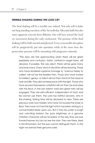## **TERRIBLE SHAKING DURING THE LOUD CRY**

The final shaking will be a terrible one indeed. Not only will it shake out long standing members of the Seventh-day Adventist faith but also some apparent converts from Babylon who will have joined the loud cry movement during the early excitement. The pressure of the final shaking will be both mental and physical. Every conceivable deception will be progressively put into operation while at the same time the persecutory pressure will be mounting with progressive intensity.

"The days are fast approaching when there will be great perplexity and confusion. Satan, clothed in angel robes, will deceive, if possible, the very elect. There will be gods many and lords many. Every wind of doctrine will be blowing. Those who have rendered supreme homage to 'science falsely so called' will not be the leaders then. Those who have trusted to intellect, genius, or talent will not then stand at the head of rank and file. They did not keep pace with the light. Those who have proved themselves unfaithful will not then be entrusted with the flock. In the last solemn work few great men will be engaged. They are self-sufficient, independent of God, and He cannot use them. The Lord has faithful servants, who in the shaking, testing time will be disclosed to view. There are precious ones now hidden who have not bowed the knee to Baal. They have not had the light which has been shining in a concentrated blaze upon you. But it may be under a rough and uninviting exterior the pure brightness of a genuine Christian character will be revealed. In the day time we look toward heaven but do not see the stars. They are there, fixed in the firmament, but the eye cannot distinguish them. In the night we behold their genuine luster.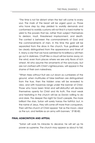"The time is not far distant when the test will come to every soul. The mark of the beast will be urged upon us. Those who have step by step yielded to worldly demands and conformed to worldly customs will not find it a hard matter to yield to the powers that be, rather than subject themselves to derision, insult, threatened imprisonment, and death. The contest is between the commandments of God and the commandments of men. In this time the gold will be separated from the dross in the church. True godliness will be clearly distinguished from the appearance and tinsel of it. Many a star that we have admired for its brilliancy will then go out in darkness. Chaff like a cloud will be borne away on the wind, even from places where we see only floors of rich wheat. All who assume the ornaments of the sanctuary, but are not clothed with Christ's righteousness, will appear in the shame of their own nakedness.

"When trees without fruit are cut down as cumberers of the ground, when multitudes of false brethren are distinguished from the true, then the hidden ones will be revealed to view, and with hosannas range under the banner of Christ. Those who have been timid and self-distrustful will declare themselves openly for Christ and His truth. The most weak and hesitating in the church will be as David—willing to do and dare. The deeper the night for God's people, the more brilliant the stars. Satan will sorely harass the faithful; but, in the name of Jesus, they will come off more than conquerors. Then will the church of Christ appear 'fair as the moon, clear as the sun, and terrible as an army with banners.' 5T 80-82.

## **FINAL ADMONITION AND APPEAL**

"Satan will work his miracles to deceive; he will set up his power as supreme. The church may appear as about to fall,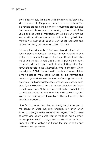but it does not fall. It remains, while the sinners in Zion will be sifted out—the chaff separated from the precious wheat. This is a terrible ordeal, but nevertheless it must take place. None but those who have been overcoming by the blood of the Lamb and the word of their testimony will be found with the loyal and true, without spot or stain of sin, without guile in their mouths. We must be divested of our self-righteousness and arrayed in the righteousness of Christ." 2SM 380.

"Already the judgments of God are abroad in the land, as seen in storms, in floods, in tempests, in earthquakes, in peril by land and by sea. The great I AM is speaking to those who make void His law. When God's wrath is poured out upon the earth, who will then be able to stand? Now is the time for God's people to show themselves true to principle. When the religion of Christ is most held in contempt, when His law is most despised, then should our zeal be the warmest and our courage and firmness the most unflinching. To stand in defense of truth and righteousness when the majority forsake us, to fight the battles of the Lord when champions are few this will be our test. At this time we must gather warmth from the coldness of others, courage from their cowardice, and loyalty from their treason. The nation will be on the side of the great rebel leader….

"The Captain of our salvation will strengthen His people for the conflict in which they must engage. How often when Satan has brought all his forces to bear against the followers of Christ, and death stares them in the face, have earnest prayers put up in faith brought the Captain of the Lord's host upon the field of action and turned the tide of battle and delivered the oppressed.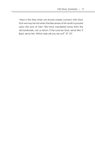"Now is the time when we should closely connect with God, that we may be hid when the fierceness of His wrath is poured upon the sons of men. We have wandered away from the old landmarks. Let us return. If the Lord be God, serve Him; if Baal, serve him. Which side will you be on?" 5T 137.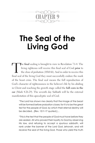

# **The Seal of the Living God**

The final sealing is brought to view in Revelation 7:1-4. The<br>living righteous will receive this final seal of God prior to<br>the close of probation (ISM 66). And in order to receive this<br>final seal of the living God that mu living righteous will receive this final seal of God **prior** to the close of probation (1SM 66). And in order to receive this final seal of the living God they must successfully endure the mark of the beast crisis. The final seal means the full reproduction of God's character of righteousness in the believer's life by his abiding in Christ and reaching the growth stage called the **full corn in the ear** (Mark 4:26-29). The seventh day Sabbath will be the external manifestation of this apocalyptic seal of God.

"The Lord has shown me clearly that the image of the beast will be formed before probation closes; for it is to be the great test for the people of God, by which their eternal destiny will be decided…[Rev. 13:11-17 quoted.]…

"This is the test that the people of God must have before they are sealed. All who proved their loyalty to God by observing His law, and refusing to accept a spurious sabbath, will rank under the banner of the Lord God Jehovah, and will receive the seal of the living God. Those who yield the truth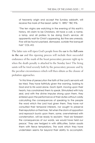of heavenly origin and accept the Sunday sabbath, will receive the mark of the beast. Letter 11, 1890." 7BC 976.

"The ten virgins are watching in the evening of this earth's history. All claim to be Christians. All have a call, a name, a lamp, and all profess to be doing God's service. All apparently wait for Christ's appearing. But five are unready. Five will be found surprised, dismayed, outside the banquet hall." COL 412

The latter rain will ripen God's people from the **ear** to the **full corn in the ear** and this ripening process will include their successful endurance of the mark of the beast persecutory pressure right up to when the death penalty is attached to the Sunday laws! The living saints will be tried severely both by the persecutory pressure and by the peculiar circumstances which will then obtain as the closure of probation approaches.

"In this time of persecution the faith of the Lord's servants will be tried. They have faithfully given the warning, looking to God and to His word alone. God's Spirit, moving upon their hearts, has constrained them to speak. Stimulated with holy zeal, and with the divine impulse strong upon them, they entered upon the performance of their duties without coldly calculating the consequences of speaking to the people the word which the Lord had given them. They have not consulted their temporal interests, nor sought to preserve their reputation or their lives. Yet when the storm of opposition and reproach bursts upon them, some, overwhelmed with consternation, will be ready to exclaim: 'Had we foreseen the consequences of our words, we would have held our peace.' They are hedged in with difficulties. Satan assails them with fierce temptations. The work which they have undertaken seems far beyond their ability to accomplish.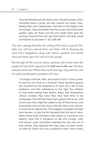They are threatened with destruction. The enthusiasm which animated them is gone; yet they cannot turn back. Then, feeling their utter helplessness, they flee to the Mighty One for strength. They remember that the words which they have spoken were not theirs, but His who bade them give the warning. God put the truth into their hearts, and they could not forbear to proclaim it." GC 608-609.

The above passage describes the ending of the loud cry period. The latter rain will have slowed down and Satan will be throwing his most fierce temptations along with intense spiritual and mental stress and strain upon the souls of God's people.

But through all this severely intense spiritual and mental strain the people of God will be ripened to the **full corn in the ear,** Christian character perfection! When they reach that stage of growth they will be sealed and thereafter probation will close!

"Courage, fortitude, faith, and implicit trust in God's power to save do not come in a moment. These heavenly graces are acquired by the experience of years. By a life of holy endeavor and firm adherence to the right the children of God were sealing their destiny. Beset with temptations without number, they knew they must resist firmly or be conquered. They felt that they had a great work to do, and at any hour they might be called to lay off their armor; and should they come to the close of life with their work undone, it would be an eternal loss. They eagerly accepted the light from heaven, as did the first disciples from the lips of Jesus. When those early Christians were exiled to mountains and deserts, when left in dungeons to die with hunger, cold, and torture, when martyrdom seemed the only way out of their distress, they rejoiced that they were counted worthy to suffer for Christ, who was crucified for them. Their worthy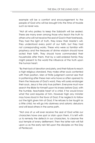example will be a comfort and encouragement to the people of God who will be brought into the time of trouble such as never was.

"Not all who profess to keep the Sabbath will be sealed. There are many even among those who teach the truth to others who will not receive the seal of God in their foreheads. They had the light of truth, they knew their Master's will, they understood every point of our faith, but they had not corresponding works. These who were so familiar with prophecy and the treasures of divine wisdom should have acted their faith. They should have commanded their households after them, that by a well-ordered family they might present to the world the influence of the truth upon the human heart.

"By their lack of devotion and piety, and their failure to reach a high religious standard, they make other souls contented with their position. Men of finite judgment cannot see that in patterning after these men who have so often opened to them the treasures of God's word, they will surely endanger their souls. Jesus is the only true pattern. Everyone must now search the Bible for himself upon his knees before God, with the humble, teachable heart of a child, if he would know what the Lord requires of him. However high any minister may have stood in the favor of God, if he neglects to follow out the light given him of God, if he refuses to be taught as a little child, he will go into darkness and satanic delusions and will lead others in the same path.

"Not one of us will ever receive the seal of God while our characters have one spot or stain upon them. It is left with us to remedy the defects in our characters, to cleanse the soul temple of every defilement. Then the latter rain will fall upon us as the early rain fell upon the disciples on the Day of Pentecost.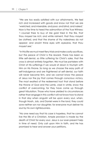"We are too easily satisfied with our attainments. We feel rich and increased with goods and know not that we are 'wretched, and miserable, and poor, and blind, and naked.' Now is the time to heed the admonition of the True Witness: 'I counsel thee to buy of Me gold tried in the fire, that thou mayest be rich; and white raiment, that thou mayest be clothed, and that the shame of thy nakedness do not appear; and anoint thine eyes with eyesalve, that thou mayest see.'

"In this life we must meet fiery trials and make costly sacrifices, but the peace of Christ is the reward. There has been so little self-denial, so little suffering for Christ's sake, that the cross is almost entirely forgotten. We must be partakers with Christ of His sufferings if we would sit down in triumph with Him on His throne. So long as we choose the easy path of self-indulgence and are frightened at self-denial, our faith will never become firm, and we cannot know the peace of Jesus nor the joy that comes through conscious victory. The most exalted of the redeemed host that stand before the throne of God and the Lamb, clad in white, know the conflict of overcoming, for they have come up through great tribulation. Those who have yielded to circumstances rather than engage in this conflict will not know how to stand in that day when anguish will be upon every soul, when, though Noah, Job, and Daniel were in the land, they could save neither son nor daughter, for everyone must deliver his soul by his own righteousness.

"No one need say that his case is hopeless, that he cannot live the life of a Christian. Ample provision is made by the death of Christ for every soul. Jesus is our ever-present help in time of need. Only call upon Him in faith, and He has promised to hear and answer your petitions.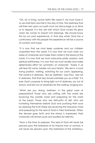"Oh, for a living, active faith! We need it; we must have it, or we shall faint and fail in the day of trial. The darkness that will then rest upon our path must not discourage us or drive us to despair. It is the veil with which God covers His glory when He comes to impart rich blessings. We should know this by our past experience. In that day when God has a controversy with His people this experience will be a source of comfort and hope.

"It is now that we must keep ourselves and our children unspotted from the world. It is now that we must wash our robes of character and make them white in the blood of the Lamb. It is now that we must overcome pride, passion, and spiritual slothfulness. It is now that we must awake and make determined effort for symmetry of character. 'Today if ye will hear His voice, harden not your hearts.' We are in a most trying position, waiting, watching for our Lord's appearing. The world is in darkness. 'But ye, brethren,' says Paul, 'are not in darkness, that that day should overtake you as a thief.' It is ever God's purpose to bring light out of darkness, joy out of sorrow, and rest out of weariness for the waiting, longing soul.

"What are you doing, brethren, in the great work of preparation? Those who are uniting with the world are receiving the worldly mold and preparing for the mark of the beast. Those who are distrustful of self, who are humbling themselves before God and purifying their souls by obeying the truth these are receiving the heavenly mold and preparing for the seal of God in their foreheads. When the decree goes forth and the stamp is impressed, their character will remain pure and spotless for eternity.

"Now is the time to prepare. The seal of God will never be placed upon the forehead of an impure man or woman. It will never be placed upon the forehead of the ambitious,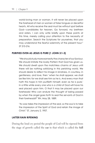world-loving man or woman. It will never be placed upon the forehead of men or women of false tongues or deceitful hearts. All who receive the seal must be without spot before God—candidates for heaven. Go forward, my brethren and sisters. I can only write briefly upon these points at this time, merely calling your attention to the necessity of preparation. Search the Scriptures for yourselves, that you may understand the fearful solemnity of the present hour." 5T 213-216.

## **PURIFIED EVEN AS JESUS IS PURE (1 JOHN 3:1-3)**

"We should study more earnestly the character of our Saviour. We should imitate the lovely Pattern that God has given us. We should dwell upon the matchless charms of Jesus until there will be nothing satisfying in this perishing world. We should desire to reflect his image in kindness, in courtesy, in gentleness, and love, then 'when he shall appear, we shall be like him; for we shall see him as he is. And every man that hath this hope in him purifieth himself, even as he is pure.' In a little while every one who is a child of God will have his seal placed upon him. O that it may be placed upon our foreheads! Who can endure the thought of being passed by when the angel goes forth to seal the servants of God in their foreheads?" RH, May 28, 1889.

"As wax takes the impression of the seal, so the soul is to take the impression of the Spirit of God and retain the image of Christ." ST, January 2, 1907.

# **LATTER RAIN RIPENING**

During the loud cry period the people of God will be ripened from the stage of growth called the **ear** to that which is called the **full**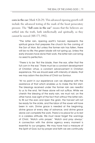**corn in the ear** (Mark 4:26-29). This advanced ripening growth will include the advanced testing of the mark of the beast persecutory pressure. The **"full corn in the ear"** means that the believers are settled into the truth, both intellectually and spiritually, so they cannot be moved (MS 173, 1902).

"The latter rain, ripening earth's harvest, represents the spiritual grace that prepares the church for the coming of the Son of Man. But unless the former rain has fallen, there will be no life; the green blade will not spring up. Unless the early showers have done their work, the latter rain can bring no seed to perfection.

"There is to be 'first the blade, then the ear, after that the full corn in the ear.' There must be a constant development of Christian virtue, a constant advancement in Christian experience. This we should seek with intensity of desire, that we may adorn the doctrine of Christ our Saviour.

"At no point in our experience can we dispense with the assistance of that which enables us to make the first start. The blessings received under the former rain are needful to us to the end. Yet these alone will not suffice. While we cherish the blessing of the early rain, we must not, on the other hand, lose sight of the fact that without the latter rain, to fill out the ears and ripen the grain, the harvest will not be ready for the sickle, and the labor of the sower will have been in vain. Divine grace is needed at the beginning, divine grace at every step of advance, and divine grace alone can complete the work. There is no place for us to rest in a careless attitude. We must never forget the warnings of Christ, 'Watch unto prayer,' 'Watch and pray always.' A connection with the divine agency every moment is essential to our progress. We may have had a measure of the Spirit of God, but by prayer and faith we are continually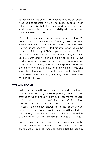to seek more of the Spirit. It will never do to cease our efforts. If we do not progress, if we do not place ourselves in an attitude to receive both the former and the latter rain, we shall lose our souls, and the responsibility will lie at our own door." RH, March 2, 1897.

"At the transfiguration, Jesus was glorified by His Father. We hear Him say: 'Now is the Son of man glorified, and God is glorified in Him.' Thus before His betrayal and crucifixion He was strengthened for His last dreadful sufferings. As the members of the body of Christ approach the period of their last conflict, 'the time of Jacob's trouble,' they will grow up into Christ, and will partake largely of His spirit. As the third message swells to a loud cry, and as great power and glory attend the closing work, the faithful people of God will partake of that glory. It is the latter rain which revives and strengthens them to pass through the time of trouble. Their faces will shine with the glory of that light which attends the third angel." 1T 353.

#### **PURE AND SPOTLESS**

"When this work shall have been accomplished, the followers of Christ will be ready for His appearing. 'Then shall the offering of Judah and Jerusalem be pleasant unto the Lord, as in the days of old, and as in former years.' Malachi 3:4. Then the church which our Lord at His coming is to receive to Himself will be a 'glorious church, not having spot, or wrinkle, or any such thing.' Ephesians 5:27. Then she will look 'forth as the morning, fair as the moon, clear as the sun, and terrible as an army with banners.' Song of Solomon 6:10." GC 425.

"We are now living in the great day of atonement. In the typical service, while the high priest was making the atonement for Israel, all were required to afflict their souls by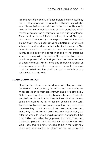repentance of sin and humiliation before the Lord, lest they be cut off from among the people. In like manner, all who would have their names retained in the book of life should now, in the few remaining days of their probation, afflict their souls before God by sorrow for sin and true repentance. There must be deep, faithful searching of heart. The light, frivolous spirit indulged by so many professed Christians must be put away. There is earnest warfare before all who would subdue the evil tendencies that strive for the mastery. The work of preparation is an individual work. We are not saved in groups. The purity and devotion of one will not offset the want of these qualities in another. Though all nations are to pass in judgment before God, yet He will examine the case of each individual with as close and searching scrutiny as if there were not another being upon the earth. Everyone must be tested and found without spot or wrinkle or any such thing." GC 489-490.

# **CLOSING ADMONITION**

"The Lord has shown me the danger of letting our minds be filled with worldly thoughts and cares. I saw that some minds are led away from present truth and a love of the Holy Bible by reading other exciting books; others are filled with perplexity and care for what they shall eat, drink, and wear. Some are looking too far off for the coming of the Lord. Time has continued a few years longer than they expected; therefore they think it may continue a few years more, and in this way their minds are being led from present truth, out after the world. In these things I saw great danger; for if the mind is filled with other things, present truth is shut out, and there is no place in our foreheads for the seal of the living God. I saw that the time for Jesus to be in the most holy place was nearly finished and that time can last but a very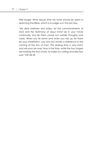little longer. What leisure time we have should be spent in searching the Bible, which is to judge us in the last day.

"My dear brethren and sisters, let the commandments of God and the testimony of Jesus Christ be in your minds continually and let them crowd out worldly thoughts and cares. When you lie down and when you rise up, let them be your meditation. Live and act wholly in reference to the coming of the Son of man. The sealing time is very short, and will soon be over. Now is the time, while the four angels are holding the four winds, to make our calling and election sure." EW 58-59.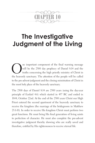

# **The Investigative Judgment of the Living**

The important component of the final warning message<br>will be the 2300 day prophecy of Daniel 8:14 and the<br>truths concerning the high priestly ministry of Christ in<br>the beauch conclusive. The attention of the people will be will be the 2300 day prophecy of Daniel 8:14 and the truths concerning the high priestly ministry of Christ in the heavenly sanctuary. The attention of the people will be called to the pre-advent judgment and the closing ministration of Christ in the most holy place of the heavenly sanctuary.

The 2300 days of Daniel 8:14 are 2300 years (using the day-year principle of Ezekiel 4:6) which started in 457 BC and ended in 1844, October 22nd. At the end of the 2300 years Christ our High Priest entered the second apartment of the heavenly sanctuary to receive the kingdom (the marriage of the bridegroom in Matthew 25:1-10). In order to receive His kingdom Christ must perform two great functions. He must bring His final generation of living saints to perfection of character. He must also complete the pre-advent investigative judgment thereby showing who are really saved and therefore, entitled by His righteousness to receive eternal life.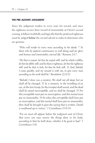#### **THE PRE-ADVENT JUDGMENT**

Since the judgment renders to every man his reward, and since the righteous receive their reward of immortality at Christ's second coming, it follows truthfully and logically that the professed righteous must be judged **before** the second advent in order to determine who are genuine.

*"Who will render to every man according to his deeds: 7 To them who by patient continuance in well doing seek for glory and honour and immortality, eternal life." Romans 2:6-7.* 

*"He that is unjust, let him be unjust still: and he which is filthy, let him be filthy still: and he that is righteous, let him be righteous still: and he that is holy, let him be holy still. 12 And, behold, I come quickly; and my reward is with me, to give every man according as his work shall be." Revelation 22:11-12.* 

*"Behold, I show you a mystery; We shall not all sleep, but we shall all be changed, 52 In a moment, in the twinkling of an eye, at the last trump: for the trumpet shall sound, and the dead shall be raised incorruptible, and we shall be changed. 53 For this corruptible must put on incorruption, and this mortal must put on immortality. 54 So when this corruptible shall have put on incorruption, and this mortal shall have put on immortality, then shall be brought to pass the saying that is written, Death is swallowed up in victory." 1 Corinthians 15:51-54.* 

*"For we must all appear before the judgment seat of Christ; that every one may receive the things done in his body, according to that he hath done, whether it be good or bad." 2 Corinthians 5:10.*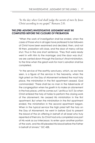*"In the day when God shall judge the secrets of men by Jesus Christ according to my gospel." Romans 2:16.* 

#### **THE (PRE-ADVENT) INVESTIGATIVE JUDGMENT MUST BE COMPLETED BEFORE THE CLOSURE OF PROBATION**

"When the work of investigation shall be ended, when the cases of those who in all ages have professed to be followers of Christ have been examined and decided, then, and not till then, probation will close, and the door of mercy will be shut. Thus in the one short sentence, 'They that were ready went in with Him to the marriage: and the door was shut,' we are carried down through the Saviour's final ministration, to the time when the great work for man's salvation shall be completed.

"In the service of the earthly sanctuary, which, as we have seen, is a figure of the service in the heavenly, when the high priest on the Day of Atonement entered the most holy place, the ministration in the first apartment ceased. God commanded: 'There shall be no man in the tabernacle of the congregation when he goeth in to make an atonement in the holy place, until he comes out.' Leviticus 16:17. So when Christ entered the holy of holies to perform the closing work of the atonement, He ceased His ministration in the first apartment. But when the ministration in the first apartment ended, the ministration in the second apartment began. When in the typical service the high priest left the holy on the Day of Atonement, he went in before God to present the blood of the sin offering in behalf of all Israel who truly repented of their sins. So Christ had only completed one part of His work as our intercessor, to enter upon another portion of the work, and He still pleaded His blood before the Father in behalf of sinners." GC 428.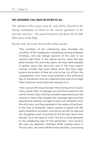## **THE JUDGMENT CALL MUST BE GIVEN TO ALL**

The attention of the masses must be, and will be, directed to the closing ministration of Christ in the second apartment of the heavenly sanctuary— the reason being that only those who by faith follow Jesus in His High

Priestly work will receive the benefits of His ministry.

"The condition of the unbelieving Jews illustrates the condition of the carelessand unbelieving among professed Christians, who are willingly ignorant of the work of our merciful High Priest. In the typical service, when the high priest entered the most holy place, all Israel were required to gather about the sanctuary and in the most solemn manner humble their souls before God, that they might receive the pardon of their sins and not be cut off from the congregation. How much more essential in this antitypical Day of Atonement that we understand the work of our High Priest and know what duties are required of us.

"Men cannot with impunity reject the warning which God in mercy sends them. A message was sent from heaven to the world in Noah's day, and their salvation depended upon the manner in which they treated that message. Because they rejected the warning, the Spirit of God was withdrawn from the sinful race, and they perished in the waters of the Flood. In the time of Abraham, mercy ceased to plead with the guilty inhabitants of Sodom, and all but Lot with his wife and two daughters were consumed by the fire sent down from heaven. So in the days of Christ. The Son of God declared to the unbelieving Jews of that generation: 'Your house is left unto you desolate.' Matthew 23:38. Looking down to the last days, the same Infinite Power declares, concerning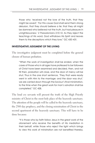those who 'received not the love of the truth, that they might be saved': 'For this cause God shall send them strong delusion, that they should believe a lie: that they all might be damned who believed not the truth, but had pleasure in unrighteousness.' 2 Thessalonians 2:10-12. As they reject the teachings of His word, God withdraws His Spirit and leaves them to the deceptions which they love." GC 430-431.

# **INVESTIGATIVE JUDGMENT OF THE LIVING**

The investigative judgment must be completed before the general closure of human probation.

"When the work of investigation shall be ended, when the cases of those who in all ages have professed to be followers of Christ have been examined and decided, then, and not till then, probation will close, and the door of mercy will be shut. Thus in the one short sentence, 'They that were ready went in with Him to the marriage: and the door was shut,' we are carried down through the Saviour's final ministration, to the time when the great work for man's salvation shall be completed." GC 428.

The loud cry servants will present the truth of the High Priestly ministry of Christ in the most holy place of the heavenly sanctuary. The attention of the people will be called to the heavenly sanctuary, the 2300 day prophecy, and the closing ministration of Christ in the second apartment of the heavenly sanctuary. This will have to be done because:

"It is those who by faith follow Jesus in the great work of the atonement who receive the benefits of His mediation in their behalf, while those who reject the light which brings to view this work of ministration are not benefited thereby.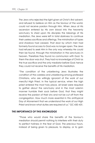The Jews who rejected the light given at Christ's first advent, and refused to believe on Him as the Saviour of the world, could not receive pardon through Him. When Jesus at His ascension entered by His own blood into the heavenly sanctuary to shed upon His disciples the blessings of His mediation, the Jews were left in total darkness to continue their useless sacrifices and offerings. The ministration of types and shadows had ceased. That door by which men had formerly found access to God was no longer open. The Jews had refused to seek Him in the only way whereby He could then be found, through the ministration in the sanctuary in heaven. Therefore they found no communion with God. To them the door was shut. They had no knowledge of Christ as the true sacrifice and the only mediator before God; hence they could not receive the benefits of His mediation.

"The condition of the unbelieving Jews illustrates the condition of the careless and unbelieving among professed Christians, who are willingly ignorant of the work of our merciful High Priest. In the typical service, when the high priest entered the most holy place, all Israel were required to gather about the sanctuary and in the most solemn manner humble their souls before God, that they might receive the pardon of their sins and not be cut off from the congregation. How much more essential in this antitypical Day of Atonement that we understand the work of our High Priest and know what duties are required of us." GC 430-431.

## **THE IMPORTANCE OF THIS KNOWLEDGE**

"Those who would share the benefits of the Saviour's mediation should permit nothing to interfere with their duty to perfect holiness in the fear of God. The precious hours, instead of being given to pleasure, to display, or to gain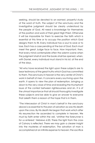seeking, should be devoted to an earnest, prayerful study of the word of truth. The subject of the sanctuary and the investigative judgment should be clearly understood by the people of God. All need a knowledge for themselves of the position and work of their great High Priest. Otherwise it will be impossible for them to exercise the faith which is essential at this time or to occupy the position which God designs them to fill. Every individual has a soul to save or to lose. Each has a case pending at the bar of God. Each must meet the great Judge face to face. How important, then, that every mind contemplate often the solemn scene when the judgment shall sit and the books shall be opened, when, with Daniel, every individual must stand in his lot, at the end of the days.

"All who have received the light upon these subjects are to bear testimony of the great truths which God has committed to them. The sanctuary in heaven is the very center of Christ's work in behalf of men. It concerns every soul living upon the earth. It opens to view the plan of redemption, bringing us down to the very close of time and revealing the triumphant issue of the contest between righteousness and sin. It is of the utmost importance that all should thoroughly investigate these subjects and be able to give an answer to everyone that asketh them a reason of the hope that is in them.

"The intercession of Christ in man's behalf in the sanctuary above is as essential to the plan of salvation as was His death upon the cross. By His death He began that work which after His resurrection He ascended to complete in heaven. We must by faith enter within the veil, 'whither the forerunner is for us entered.' Hebrews 6:20. There the light from the cross of Calvary is reflected. There we may gain a clearer insight into the mysteries of redemption. The salvation of man is accomplished at an infinite expense to heaven; the sacrifice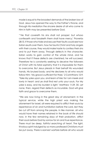made is equal to the broadest demands of the broken law of God. Jesus has opened the way to the Father's throne, and through His mediation the sincere desire of all who come to Him in faith may be presented before God.

"'He that covereth his sins shall not prosper: but whoso confesseth and forsaketh them shall have mercy.' Proverbs 28:13. If those who hide and excuse their faults could see how Satan exults over them, how he taunts Christ and holy angels with their course, they would make haste to confess their sins and to put them away. Through defects in the character, Satan works to gain control of the whole mind, and he knows that if these defects are cherished, he will succeed. Therefore he is constantly seeking to deceive the followers of Christ with his fatal sophistry that it is impossible for them to overcome. But Jesus pleads in their behalf His wounded hands, His bruised body; and He declares to all who would follow Him: 'My grace is sufficient for thee.' 2 Corinthians 12:9. 'Take My yoke upon you, and learn of Me; for I am meek and lowly in heart: and ye shall find rest unto your souls. For My yoke is easy, and My burden is light.' Matthew 11:29, 30. Let none, then, regard their defects as incurable. God will give faith and grace to overcome them.

"We are now living in the great day of atonement. In the typical service, while the high priest was making the atonement for Israel, all were required to afflict their souls by repentance of sin and humiliation before the Lord, lest they be cut off from among the people. In like manner, all who would have their names retained in the book of life should now, in the few remaining days of their probation, afflict their souls before God by sorrow for sin and true repentance. There must be deep, faithful searching of heart. The light, frivolous spirit indulged by so many professed Christians must be put away. There is earnest warfare before all who would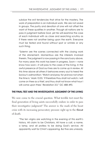subdue the evil tendencies that strive for the mastery. The work of preparation is an individual work. We are not saved in groups. The purity and devotion of one will not offset the want of these qualities in another. Though all nations are to pass in judgment before God, yet He will examine the case of each individual with as close and searching scrutiny as if there were not another being upon the earth. Everyone must be tested and found without spot or wrinkle or any such thing.

"Solemn are the scenes connected with the closing work of the atonement. Momentous are the interests involved therein. The judgment is now passing in the sanctuary above. For many years this work has been in progress. Soon— none know how soon—it will pass to the cases of the living. In the awful presence of God our lives are to come up in review. At this time above all others it behooves every soul to heed the Saviour's admonition: 'Watch and pray: for ye know not when the time is.' Mark 13:33. 'If therefore thou shalt not watch, I will come on thee as a thief, and thou shalt not know what hour I will come upon thee.' Revelation 3:3." GC 488-490.

# **THE FINAL TEST AND THE INVESTIGATIVE JUDGMENT OF THE LIVING**

We now come to the crucial question. What terrible test must the final generation of living saints successfully endure in order to pass their investigative judgment? The answer is: the mark of the beast crisis with its increasing persecutory pressure right up to the **threat**  of death.

"The ten virgins are watching in the evening of this earth's history. All claim to be Christians. All have a call, a name, a lamp, and all profess to be doing God's service. All apparently wait for Christ's appearing. But five are unready.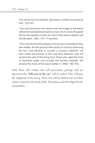Five will be found surprised, dismayed, outside the banquet hall." COL 412.

"The Lord has shown me clearly that the image of the beast will be formed before probation closes; for it is to be the great test for the people of God, by which their eternal destiny will be decided….[Rev. 13:11-17 quoted.]

"This is the test that the people of God must have before they are sealed. All who proved their loyalty to God by observing His law, and refusing to accept a spurious sabbath, will rank under the banner of the Lord God Jehovah, and will receive the seal of the living God. Those who yield the truth of heavenly origin and accept the Sunday sabbath, will receive the mark of the beast (Letter 11, 1890)." 7BC 976.

Only those who endure this full persecutory package and are ripened to the **"full corn in the ear"** will be sealed. They will pass the judgment of the living. Their sins will be blotted out and their names retained in the book of life. Then Jesus ends His High Priestly ministration.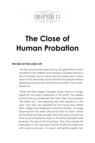

# **The Close of Human Probation**

# **THE END OF THE LOUD CRY**

"'At that time shall Michael stand up, the great Prince which standeth for the children of thy people: and there shall be a time of trouble, such as never was since there was a nation even to that same time: and at that time thy people shall be delivered, everyone that shall be found written in the book.' Daniel 12:1.

"When the third angel's message closes, mercy no longer pleads for the guilty inhabitants of the earth. The people of God have accomplished their work. They have received 'the latter rain,' 'the refreshing from the presence of the Lord,' and they are prepared for the trying hour before them. Angels are hastening to and fro in heaven. An angel returning from the earth announces that his work is done; the final test has been brought upon the world, and all who have proved themselves loyal to the divine precepts have received 'the seal of the living God.' Then Jesus ceases His intercession in the sanctuary above. He lifts His hands and with a loud voice says, 'It is done;' and all the angelic host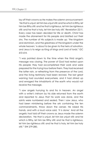lay off their crowns as He makes the solemn announcement: 'He that is unjust, let him be unjust still: and he which is filthy, let him be filthy still: and he that is righteous, let him be righteous still: and he that is holy, let him be holy still.' Revelation 22:11. Every case has been decided for life or death. Christ has made the atonement for His people and blotted out their sins. The number of His subjects is made up; 'the kingdom and dominion, and the greatness of the kingdom under the whole heaven,' is about to be given to the heirs of salvation, and Jesus is to reign as King of kings and Lord of lords." GC 613-614.

"I was pointed down to the time when the third angel's message was closing. The power of God had rested upon His people; they had accomplished their work and were prepared for the trying hour before them. They had received the latter rain, or refreshing from the presence of the Lord, and the living testimony had been revived. The last great warning had sounded everywhere, and it had stirred up and enraged the inhabitants of the earth who would not receive the message.

"I saw angels hurrying to and fro in heaven. An angel with a writer's inkhorn by his side returned from the earth and reported to Jesus that his work was done, and the saints were numbered and sealed. Then I saw Jesus, who had been ministering before the ark containing the ten commandments, throw down the censer. He raised His hands, and with a loud voice said, 'It is done.' And all the angelic host laid off their crowns as Jesus made the solemn declaration, 'He that is unjust, let him be unjust still: and he which is filthy, let him be filthy still: and he that is righteous, let him be righteous still: and he that is holy, let him be holy still.'" EW 279-280.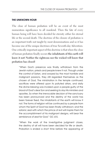### **THE UNKNOWN HOUR**

The close of human probation will be an event of the most momentous significance to all mankind. Then the fate of every human being will have been decided for eternity either for eternal life or the second death. The doctrine of the closure of probation is an important truth not taught by most denominations and so it has become one of the unique doctrines of true Seventh-day Adventism. One critically important aspect of this doctrine is that when the close of human probation finally occurs **the inhabitants of this earth will know it not! Neither the righteous nor the wicked will know that probation has closed!** 

"When God's presence was finally withdrawn from the Jewish nation, priests and people knew it not. Though under the control of Satan, and swayed by the most horrible and malignant passions, they still regarded themselves as the chosen of God. The ministration in the temple continued; sacrifices were offered upon its polluted altars, and daily the divine blessing was invoked upon a people guilty of the blood of God's dear Son and seeking to slay His ministers and apostles. So when the irrevocable decision of the sanctuary has been pronounced and the destiny of the world has been forever fixed, the inhabitants of the earth will know it not. The forms of religion will be continued by a people from whom the Spirit of God has been finally withdrawn; and the satanic zeal with which the prince of evil will inspire them for the accomplishment of his malignant designs, will bear the semblance of zeal for God." GC 615.

"When the work of the investigative judgment closes, the destiny of all will have been decided for life or death. Probation is ended a short time before the appearing of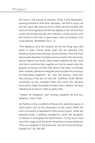the Lord in the clouds of heaven. Christ in the Revelation, looking forward to that time, declares: 'He that is unjust, let him be unjust still: and he which is filthy, let him be filthy still: and he that is righteous let him be righteous still: and he that is holy, let him be holy still. And, behold, I come quickly; and My reward is with Me, to give every man according as his work shall be.' Revelation 22:11, 12.

"The righteous and the wicked will still be living upon the earth in their mortal state—men will be planting and building, eating and drinking, all unconscious that the final, irrevocable decision has been pronounced in the sanctuary above. Before the Flood, after Noah entered the ark, God shut him in and shut the ungodly out; but for seven days the people, knowing not that their doom was fixed, continued their careless, pleasure-loving life and mocked the warnings of impending judgment. 'So,' says the Saviour, 'shall also the coming of the Son of man be.' Matthew 24:39. Silently, unnoticed as the midnight thief, will come the decisive hour which marks the fixing of every man's destiny, the final withdrawal of mercy's offer to guilty men.

"'Watch ye therefore:…lest coming suddenly He find you sleeping.' Mark 13:35,

36. Perilous is the condition of those who, growing weary of their watch, turn to the attractions of the world. While the man of business is absorbed in the pursuit of gain, while the pleasure lover is seeking indulgence, while the daughter of fashion is arranging her adornments—it may be in that hour the Judge of all the earth will pronounce the sentence: 'Thou art weighed in the balances, and art found wanting.' Daniel 5:27." GC 490-491.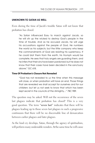## **UNKNOWN TO SATAN AS WELL**

Even during the time of Jacob's trouble Satan will not know that probation has closed.

"As Satan influenced Esau to march against Jacob, so he will stir up the wicked to destroy God's people in the time of trouble. And as he accused Jacob, he will urge his accusations against the people of God. He numbers the world as his subjects; but the little company who keep the commandments of God are resisting his supremacy. If he could blot them from the earth, his triumph would be complete. He sees that holy angels are guarding them, and he infers that their sins have been pardoned; but he does not know that their cases have been decided in the sanctuary above." GC 618.

### **Time Of Probation's Closure Not Revealed**

"God has not revealed to us the time when this message will close, or when probation will have an end. Those things that are revealed we shall accept for ourselves and for our children; but let us not seek to know that which has been kept secret in the councils of the Almighty…" 7BC 989.

The question may be asked: Will not the occurrence of the seven last plagues indicate that probation has closed? This is a very good question. The term **"seven last"** indicates that there will be plagues leading up to those seven last plagues in such a progressive continuum that there will be no discernable line of demarcation between earlier plagues and later plagues.

As the loud cry develops, Satan, through the agency of spiritualism, will perform many undeniable wonders. At the same time he will cause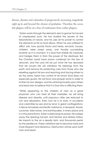disease, disaster and calamities of progressively increasing magnitude right up to and beyond the closure of probation. Therefore the seven last plagues will be on a line of continuum from earlier plagues.

"Satan works through the elements also to garner his harvest of unprepared souls. He has studied the secrets of the laboratories of nature, and he uses all his power to control the elements as far as God allows. When he was suffered to afflict Job, how quickly flocks and herds, servants, houses, children, were swept away, one trouble succeeding another as in a moment. It is God that shields His creatures and hedges them in from the power of the destroyer. But the Christian world have shown contempt for the law of Jehovah; and the Lord will do just what He has declared that He would—He will withdraw His blessings from the earth and remove His protecting care from those who are rebelling against His law and teaching and forcing others to do the same. Satan has control of all whom God does not especially guard. He will favor and prosper some in order to further his own designs, and he will bring trouble upon others and lead men to believe that it is God who is afflicting them.

"While appearing to the children of men as a great physician who can heal all their maladies, he will bring disease and disaster, until populous cities are reduced to ruin and desolation. Even now he is at work. In accidents and calamities by sea and by land, in great conflagrations, in fierce tornadoes and terrific hailstorms, in tempests, floods, cyclones, tidal waves, and earthquakes, in every place and in a thousand forms, Satan is exercising his power. He sweeps away the ripening harvest, and famine and distress follow. He imparts to the air a deadly taint, and thousands perish by the pestilence. These visitations are to become more and more frequent and disastrous. Destruction will be upon both man and beast.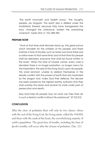'The earth mourneth and fadeth away,' 'the haughty people…do languish. The earth also is defiled under the inhabitants thereof; because they have transgressed the laws, changed the ordinance, broken the everlasting covenant.' Isaiah 24:4, 5." GC 589-590.

## **PREPARE NOW**

"'And at that time shall Michael stand up, the great prince which standeth for the children of thy people: and there shall be a time of trouble, such as never was since there was a nation even to that same time: and at that time thy people shall be delivered, everyone that shall be found written in the book.' When this time of trouble comes, every case is decided; there is no longer probation, no longer mercy for the impenitent. The seal of the living God is upon His people. This small remnant, unable to defend themselves in the deadly conflict with the powers of earth that are marshaled by the dragon host, make God their defense. The decree has been passed by the highest earthly authority that they shall worship the beast and receive his mark under pain of persecution and death.

May God help His people now, for what can they then do in such a fearful conflict without His assistance!" 5T 212-213.

## **CONCLUSION**

After the close of probation their will only be two classes—those with the seal of the living God, the living saints, called the 144,000; and those with the mark of the beast, the overwhelming majority of earth's population. The great time of trouble, including the time of Jacob's trouble, will occur after the closure of probation. Dan. 12:1